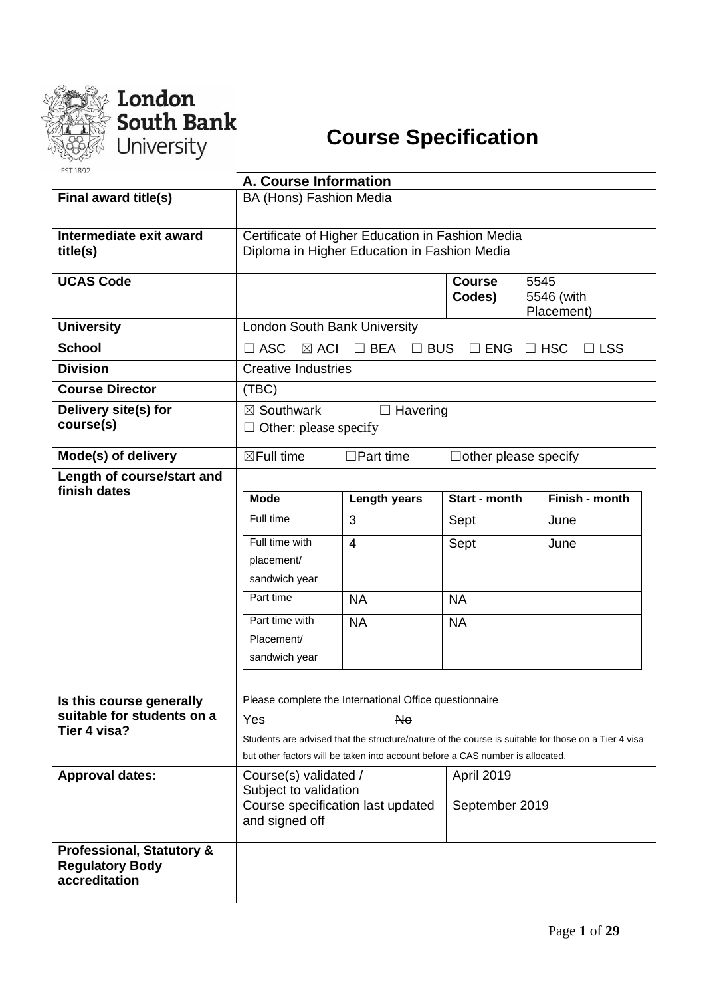



| <b>EST 1892</b>                      |                                                     |                                                                                |                             |                                                                                                     |  |  |  |  |  |  |
|--------------------------------------|-----------------------------------------------------|--------------------------------------------------------------------------------|-----------------------------|-----------------------------------------------------------------------------------------------------|--|--|--|--|--|--|
|                                      | A. Course Information                               |                                                                                |                             |                                                                                                     |  |  |  |  |  |  |
| Final award title(s)                 | BA (Hons) Fashion Media                             |                                                                                |                             |                                                                                                     |  |  |  |  |  |  |
| Intermediate exit award              |                                                     | Certificate of Higher Education in Fashion Media                               |                             |                                                                                                     |  |  |  |  |  |  |
| title(s)                             |                                                     | Diploma in Higher Education in Fashion Media                                   |                             |                                                                                                     |  |  |  |  |  |  |
|                                      |                                                     |                                                                                |                             |                                                                                                     |  |  |  |  |  |  |
| <b>UCAS Code</b>                     |                                                     |                                                                                | <b>Course</b>               | 5545                                                                                                |  |  |  |  |  |  |
|                                      |                                                     |                                                                                | Codes)                      | 5546 (with                                                                                          |  |  |  |  |  |  |
| <b>University</b>                    | London South Bank University                        |                                                                                |                             | Placement)                                                                                          |  |  |  |  |  |  |
|                                      |                                                     |                                                                                |                             |                                                                                                     |  |  |  |  |  |  |
| <b>School</b>                        | $\square$ ASC<br>$\boxtimes$ ACI                    | $\Box$ BEA<br>$\Box$ BUS                                                       | $\square$ ENG               | $\Box$ LSS<br>$\Box$ HSC                                                                            |  |  |  |  |  |  |
| <b>Division</b>                      | <b>Creative Industries</b>                          |                                                                                |                             |                                                                                                     |  |  |  |  |  |  |
| <b>Course Director</b>               | (TBC)                                               |                                                                                |                             |                                                                                                     |  |  |  |  |  |  |
| Delivery site(s) for                 | $\boxtimes$ Southwark                               | $\Box$ Havering                                                                |                             |                                                                                                     |  |  |  |  |  |  |
| course(s)                            | $\Box$ Other: please specify                        |                                                                                |                             |                                                                                                     |  |  |  |  |  |  |
| Mode(s) of delivery                  | $\boxtimes$ Full time                               | $\Box$ Part time                                                               | $\Box$ other please specify |                                                                                                     |  |  |  |  |  |  |
| Length of course/start and           |                                                     |                                                                                |                             |                                                                                                     |  |  |  |  |  |  |
| finish dates                         |                                                     |                                                                                |                             |                                                                                                     |  |  |  |  |  |  |
|                                      | <b>Mode</b>                                         | Length years                                                                   | Start - month               | Finish - month                                                                                      |  |  |  |  |  |  |
|                                      | Full time                                           | 3                                                                              | Sept                        | June                                                                                                |  |  |  |  |  |  |
|                                      | Full time with                                      | $\overline{4}$                                                                 | Sept                        | June                                                                                                |  |  |  |  |  |  |
|                                      | placement/                                          |                                                                                |                             |                                                                                                     |  |  |  |  |  |  |
|                                      | sandwich year                                       |                                                                                |                             |                                                                                                     |  |  |  |  |  |  |
|                                      | Part time                                           | <b>NA</b>                                                                      | <b>NA</b>                   |                                                                                                     |  |  |  |  |  |  |
|                                      | Part time with                                      | <b>NA</b>                                                                      | <b>NA</b>                   |                                                                                                     |  |  |  |  |  |  |
|                                      | Placement/                                          |                                                                                |                             |                                                                                                     |  |  |  |  |  |  |
|                                      | sandwich year                                       |                                                                                |                             |                                                                                                     |  |  |  |  |  |  |
|                                      |                                                     |                                                                                |                             |                                                                                                     |  |  |  |  |  |  |
| Is this course generally             |                                                     | Please complete the International Office questionnaire                         |                             |                                                                                                     |  |  |  |  |  |  |
| suitable for students on a           | Yes                                                 | <b>No</b>                                                                      |                             |                                                                                                     |  |  |  |  |  |  |
| Tier 4 visa?                         |                                                     |                                                                                |                             | Students are advised that the structure/nature of the course is suitable for those on a Tier 4 visa |  |  |  |  |  |  |
|                                      |                                                     | but other factors will be taken into account before a CAS number is allocated. |                             |                                                                                                     |  |  |  |  |  |  |
| <b>Approval dates:</b>               | Course(s) validated /                               |                                                                                | April 2019                  |                                                                                                     |  |  |  |  |  |  |
|                                      | Subject to validation                               |                                                                                |                             |                                                                                                     |  |  |  |  |  |  |
|                                      | Course specification last updated<br>and signed off |                                                                                | September 2019              |                                                                                                     |  |  |  |  |  |  |
|                                      |                                                     |                                                                                |                             |                                                                                                     |  |  |  |  |  |  |
| <b>Professional, Statutory &amp;</b> |                                                     |                                                                                |                             |                                                                                                     |  |  |  |  |  |  |
| <b>Regulatory Body</b>               |                                                     |                                                                                |                             |                                                                                                     |  |  |  |  |  |  |
| accreditation                        |                                                     |                                                                                |                             |                                                                                                     |  |  |  |  |  |  |
|                                      |                                                     |                                                                                |                             |                                                                                                     |  |  |  |  |  |  |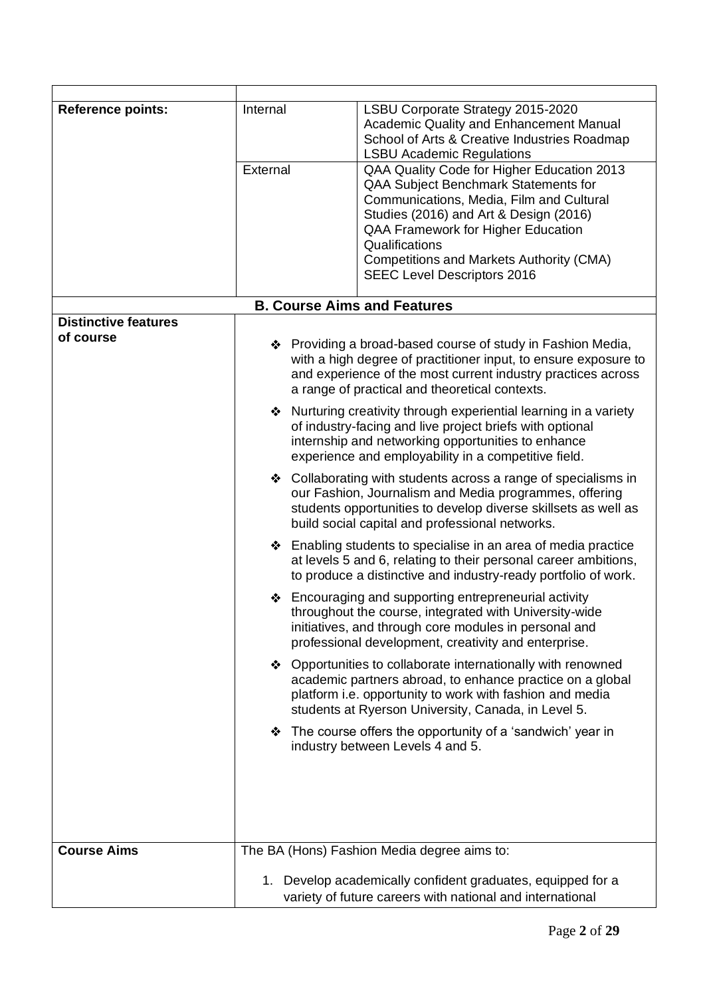| <b>Reference points:</b>    | Internal<br>External                                                                                                                                                                                                                             | LSBU Corporate Strategy 2015-2020<br>Academic Quality and Enhancement Manual<br>School of Arts & Creative Industries Roadmap<br><b>LSBU Academic Regulations</b><br>QAA Quality Code for Higher Education 2013<br>QAA Subject Benchmark Statements for<br>Communications, Media, Film and Cultural |  |  |  |  |  |  |  |
|-----------------------------|--------------------------------------------------------------------------------------------------------------------------------------------------------------------------------------------------------------------------------------------------|----------------------------------------------------------------------------------------------------------------------------------------------------------------------------------------------------------------------------------------------------------------------------------------------------|--|--|--|--|--|--|--|
|                             |                                                                                                                                                                                                                                                  | Studies (2016) and Art & Design (2016)<br>QAA Framework for Higher Education<br>Qualifications                                                                                                                                                                                                     |  |  |  |  |  |  |  |
|                             |                                                                                                                                                                                                                                                  | <b>Competitions and Markets Authority (CMA)</b><br><b>SEEC Level Descriptors 2016</b>                                                                                                                                                                                                              |  |  |  |  |  |  |  |
|                             | <b>B. Course Aims and Features</b>                                                                                                                                                                                                               |                                                                                                                                                                                                                                                                                                    |  |  |  |  |  |  |  |
| <b>Distinctive features</b> |                                                                                                                                                                                                                                                  |                                                                                                                                                                                                                                                                                                    |  |  |  |  |  |  |  |
| of course                   | ❖ Providing a broad-based course of study in Fashion Media,<br>with a high degree of practitioner input, to ensure exposure to<br>and experience of the most current industry practices across<br>a range of practical and theoretical contexts. |                                                                                                                                                                                                                                                                                                    |  |  |  |  |  |  |  |
|                             |                                                                                                                                                                                                                                                  | ❖ Nurturing creativity through experiential learning in a variety<br>of industry-facing and live project briefs with optional<br>internship and networking opportunities to enhance<br>experience and employability in a competitive field.                                                        |  |  |  |  |  |  |  |
|                             |                                                                                                                                                                                                                                                  | ❖ Collaborating with students across a range of specialisms in<br>our Fashion, Journalism and Media programmes, offering<br>students opportunities to develop diverse skillsets as well as<br>build social capital and professional networks.                                                      |  |  |  |  |  |  |  |
|                             |                                                                                                                                                                                                                                                  | $\triangle$ Enabling students to specialise in an area of media practice<br>at levels 5 and 6, relating to their personal career ambitions,<br>to produce a distinctive and industry-ready portfolio of work.                                                                                      |  |  |  |  |  |  |  |
|                             |                                                                                                                                                                                                                                                  | ❖ Encouraging and supporting entrepreneurial activity<br>throughout the course, integrated with University-wide<br>initiatives, and through core modules in personal and<br>professional development, creativity and enterprise.                                                                   |  |  |  |  |  |  |  |
|                             |                                                                                                                                                                                                                                                  | ❖ Opportunities to collaborate internationally with renowned<br>academic partners abroad, to enhance practice on a global<br>platform i.e. opportunity to work with fashion and media<br>students at Ryerson University, Canada, in Level 5.                                                       |  |  |  |  |  |  |  |
|                             | ❖ The course offers the opportunity of a 'sandwich' year in<br>industry between Levels 4 and 5.                                                                                                                                                  |                                                                                                                                                                                                                                                                                                    |  |  |  |  |  |  |  |
|                             |                                                                                                                                                                                                                                                  |                                                                                                                                                                                                                                                                                                    |  |  |  |  |  |  |  |
| <b>Course Aims</b>          |                                                                                                                                                                                                                                                  | The BA (Hons) Fashion Media degree aims to:                                                                                                                                                                                                                                                        |  |  |  |  |  |  |  |
|                             |                                                                                                                                                                                                                                                  | 1. Develop academically confident graduates, equipped for a<br>variety of future careers with national and international                                                                                                                                                                           |  |  |  |  |  |  |  |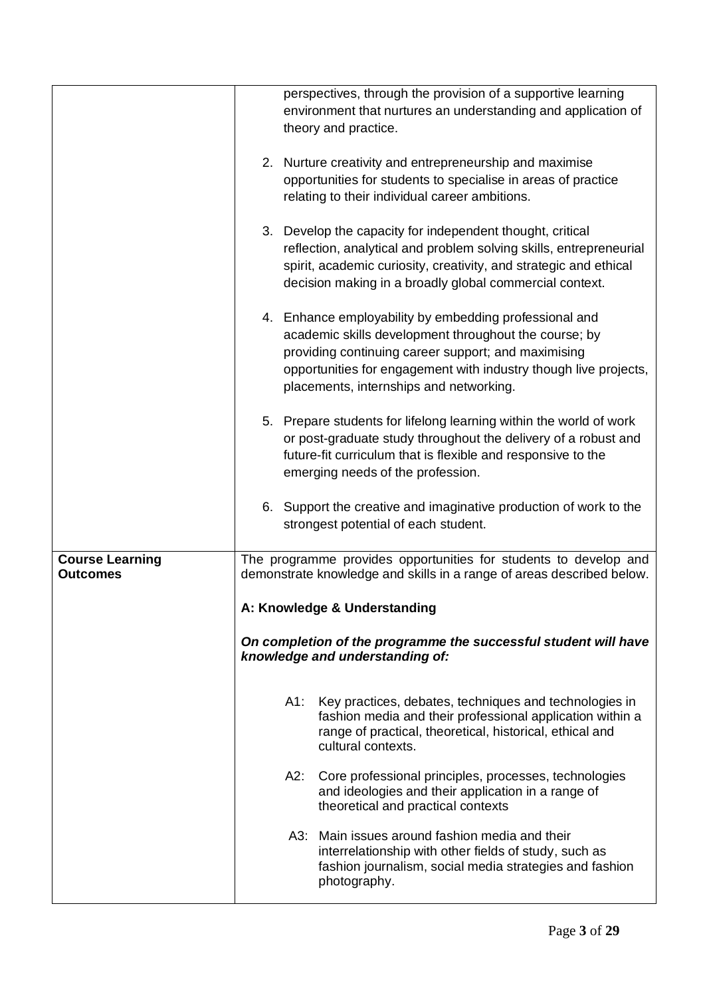|                                           | perspectives, through the provision of a supportive learning<br>environment that nurtures an understanding and application of                                                                                                                                                         |
|-------------------------------------------|---------------------------------------------------------------------------------------------------------------------------------------------------------------------------------------------------------------------------------------------------------------------------------------|
|                                           | theory and practice.                                                                                                                                                                                                                                                                  |
|                                           | 2. Nurture creativity and entrepreneurship and maximise<br>opportunities for students to specialise in areas of practice<br>relating to their individual career ambitions.                                                                                                            |
|                                           | 3. Develop the capacity for independent thought, critical<br>reflection, analytical and problem solving skills, entrepreneurial<br>spirit, academic curiosity, creativity, and strategic and ethical<br>decision making in a broadly global commercial context.                       |
|                                           | 4. Enhance employability by embedding professional and<br>academic skills development throughout the course; by<br>providing continuing career support; and maximising<br>opportunities for engagement with industry though live projects,<br>placements, internships and networking. |
|                                           | 5. Prepare students for lifelong learning within the world of work<br>or post-graduate study throughout the delivery of a robust and<br>future-fit curriculum that is flexible and responsive to the<br>emerging needs of the profession.                                             |
|                                           | 6. Support the creative and imaginative production of work to the<br>strongest potential of each student.                                                                                                                                                                             |
| <b>Course Learning</b><br><b>Outcomes</b> | The programme provides opportunities for students to develop and<br>demonstrate knowledge and skills in a range of areas described below.                                                                                                                                             |
|                                           | A: Knowledge & Understanding                                                                                                                                                                                                                                                          |
|                                           | On completion of the programme the successful student will have<br>knowledge and understanding of:                                                                                                                                                                                    |
|                                           | Key practices, debates, techniques and technologies in<br>A1:<br>fashion media and their professional application within a<br>range of practical, theoretical, historical, ethical and<br>cultural contexts.                                                                          |
|                                           | A2:<br>Core professional principles, processes, technologies<br>and ideologies and their application in a range of<br>theoretical and practical contexts                                                                                                                              |
|                                           | A3: Main issues around fashion media and their<br>interrelationship with other fields of study, such as<br>fashion journalism, social media strategies and fashion<br>photography.                                                                                                    |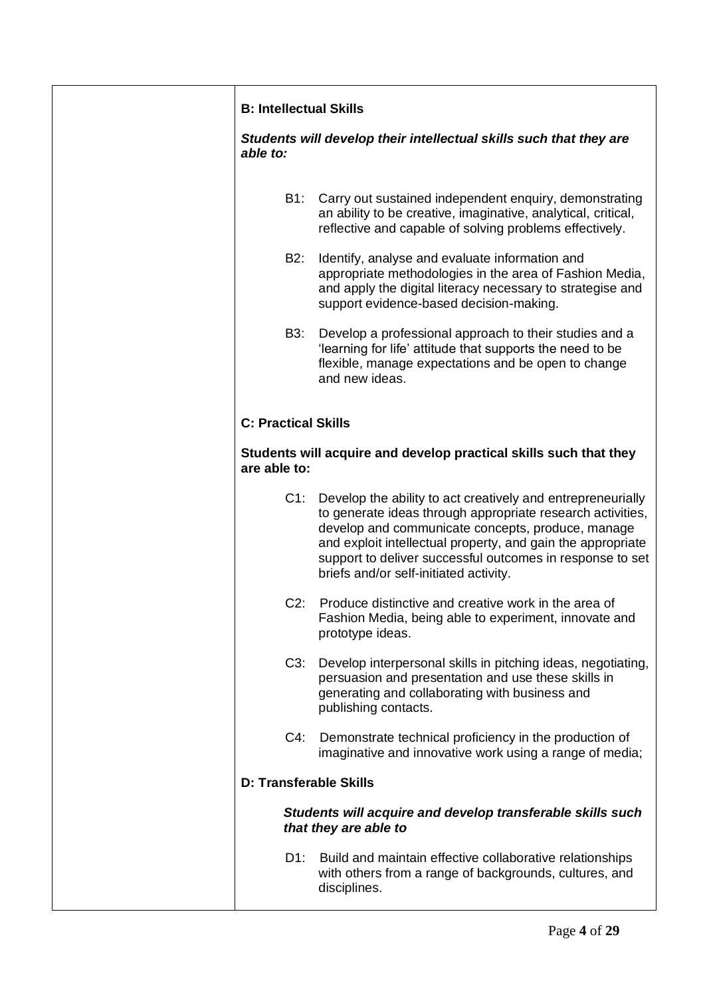| <b>B: Intellectual Skills</b> |                                                                                                                                                                                                                                                                                                                                                      |
|-------------------------------|------------------------------------------------------------------------------------------------------------------------------------------------------------------------------------------------------------------------------------------------------------------------------------------------------------------------------------------------------|
| able to:                      | Students will develop their intellectual skills such that they are                                                                                                                                                                                                                                                                                   |
| B1:                           | Carry out sustained independent enquiry, demonstrating<br>an ability to be creative, imaginative, analytical, critical,<br>reflective and capable of solving problems effectively.                                                                                                                                                                   |
| B2:                           | Identify, analyse and evaluate information and<br>appropriate methodologies in the area of Fashion Media,<br>and apply the digital literacy necessary to strategise and<br>support evidence-based decision-making.                                                                                                                                   |
| B3:                           | Develop a professional approach to their studies and a<br>'learning for life' attitude that supports the need to be<br>flexible, manage expectations and be open to change<br>and new ideas.                                                                                                                                                         |
| <b>C: Practical Skills</b>    |                                                                                                                                                                                                                                                                                                                                                      |
| are able to:                  | Students will acquire and develop practical skills such that they                                                                                                                                                                                                                                                                                    |
| $C1$ :                        | Develop the ability to act creatively and entrepreneurially<br>to generate ideas through appropriate research activities,<br>develop and communicate concepts, produce, manage<br>and exploit intellectual property, and gain the appropriate<br>support to deliver successful outcomes in response to set<br>briefs and/or self-initiated activity. |
| $C2$ :                        | Produce distinctive and creative work in the area of<br>Fashion Media, being able to experiment, innovate and<br>prototype ideas.                                                                                                                                                                                                                    |
| C3:                           | Develop interpersonal skills in pitching ideas, negotiating,<br>persuasion and presentation and use these skills in<br>generating and collaborating with business and<br>publishing contacts.                                                                                                                                                        |
| $C4$ :                        | Demonstrate technical proficiency in the production of<br>imaginative and innovative work using a range of media;                                                                                                                                                                                                                                    |
| <b>D: Transferable Skills</b> |                                                                                                                                                                                                                                                                                                                                                      |
|                               | Students will acquire and develop transferable skills such<br>that they are able to                                                                                                                                                                                                                                                                  |
| D1:                           | Build and maintain effective collaborative relationships<br>with others from a range of backgrounds, cultures, and<br>disciplines.                                                                                                                                                                                                                   |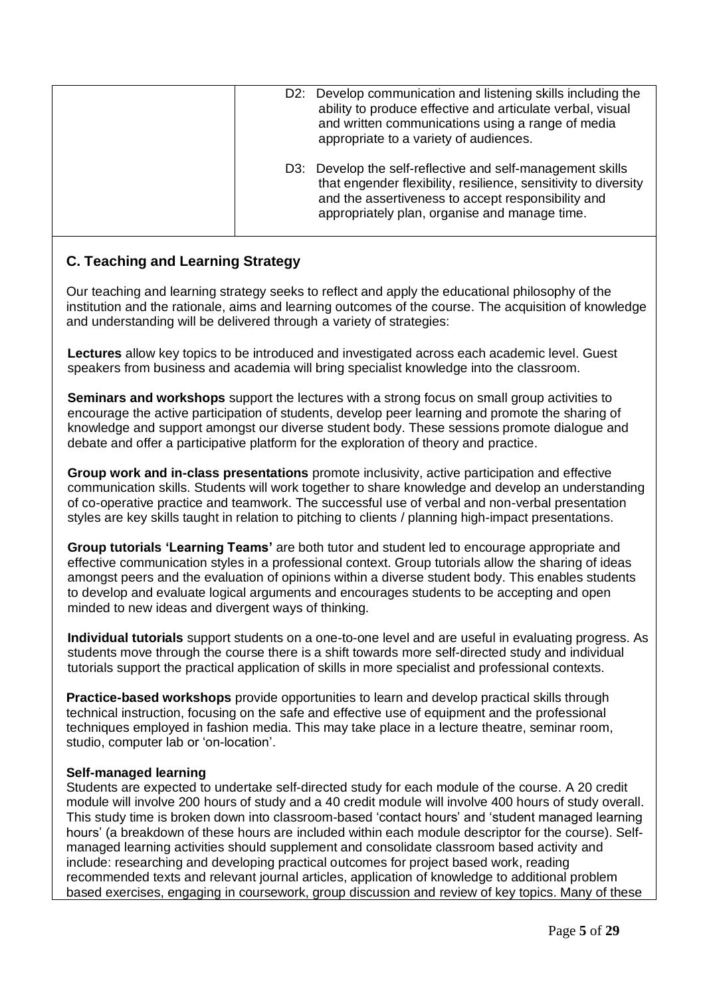|  | D2: Develop communication and listening skills including the<br>ability to produce effective and articulate verbal, visual<br>and written communications using a range of media<br>appropriate to a variety of audiences.            |
|--|--------------------------------------------------------------------------------------------------------------------------------------------------------------------------------------------------------------------------------------|
|  | D3: Develop the self-reflective and self-management skills<br>that engender flexibility, resilience, sensitivity to diversity<br>and the assertiveness to accept responsibility and<br>appropriately plan, organise and manage time. |

# **C. Teaching and Learning Strategy**

Our teaching and learning strategy seeks to reflect and apply the educational philosophy of the institution and the rationale, aims and learning outcomes of the course. The acquisition of knowledge and understanding will be delivered through a variety of strategies:

**Lectures** allow key topics to be introduced and investigated across each academic level. Guest speakers from business and academia will bring specialist knowledge into the classroom.

**Seminars and workshops** support the lectures with a strong focus on small group activities to encourage the active participation of students, develop peer learning and promote the sharing of knowledge and support amongst our diverse student body. These sessions promote dialogue and debate and offer a participative platform for the exploration of theory and practice.

**Group work and in-class presentations** promote inclusivity, active participation and effective communication skills. Students will work together to share knowledge and develop an understanding of co-operative practice and teamwork. The successful use of verbal and non-verbal presentation styles are key skills taught in relation to pitching to clients / planning high-impact presentations.

**Group tutorials 'Learning Teams'** are both tutor and student led to encourage appropriate and effective communication styles in a professional context. Group tutorials allow the sharing of ideas amongst peers and the evaluation of opinions within a diverse student body. This enables students to develop and evaluate logical arguments and encourages students to be accepting and open minded to new ideas and divergent ways of thinking.

**Individual tutorials** support students on a one-to-one level and are useful in evaluating progress. As students move through the course there is a shift towards more self-directed study and individual tutorials support the practical application of skills in more specialist and professional contexts.

**Practice-based workshops** provide opportunities to learn and develop practical skills through technical instruction, focusing on the safe and effective use of equipment and the professional techniques employed in fashion media. This may take place in a lecture theatre, seminar room, studio, computer lab or 'on-location'.

## **Self-managed learning**

Students are expected to undertake self-directed study for each module of the course. A 20 credit module will involve 200 hours of study and a 40 credit module will involve 400 hours of study overall. This study time is broken down into classroom-based 'contact hours' and 'student managed learning hours' (a breakdown of these hours are included within each module descriptor for the course). Selfmanaged learning activities should supplement and consolidate classroom based activity and include: researching and developing practical outcomes for project based work, reading recommended texts and relevant journal articles, application of knowledge to additional problem based exercises, engaging in coursework, group discussion and review of key topics. Many of these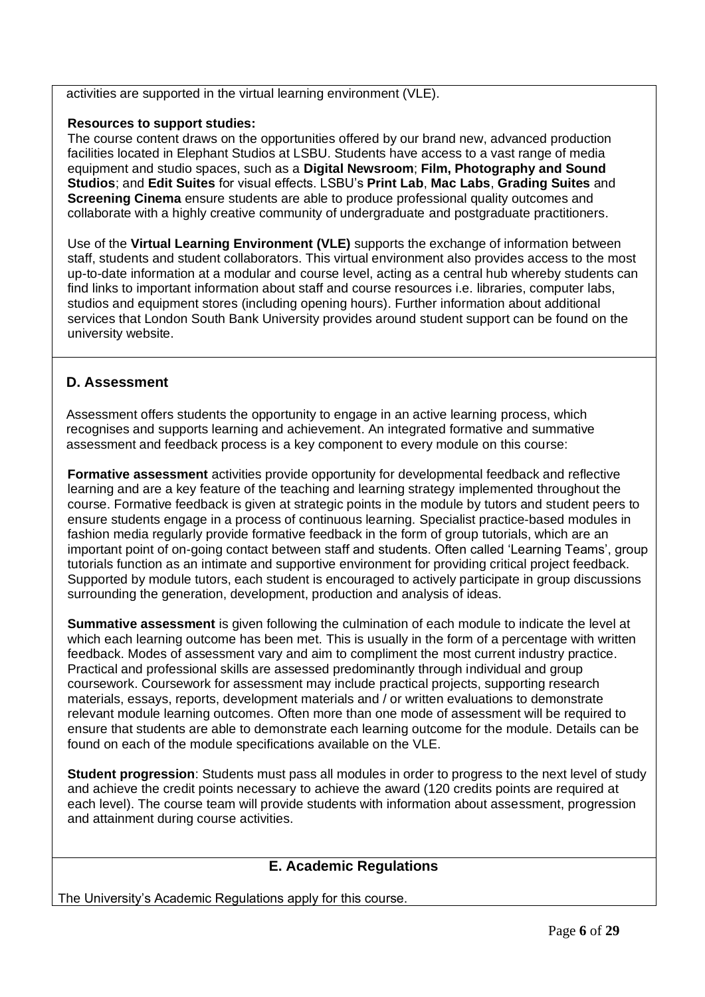activities are supported in the virtual learning environment (VLE).

## **Resources to support studies:**

The course content draws on the opportunities offered by our brand new, advanced production facilities located in Elephant Studios at LSBU. Students have access to a vast range of media equipment and studio spaces, such as a **Digital Newsroom**; **Film, Photography and Sound Studios**; and **Edit Suites** for visual effects. LSBU's **Print Lab**, **Mac Labs**, **Grading Suites** and **Screening Cinema** ensure students are able to produce professional quality outcomes and collaborate with a highly creative community of undergraduate and postgraduate practitioners.

Use of the **Virtual Learning Environment (VLE)** supports the exchange of information between staff, students and student collaborators. This virtual environment also provides access to the most up-to-date information at a modular and course level, acting as a central hub whereby students can find links to important information about staff and course resources i.e. libraries, computer labs, studios and equipment stores (including opening hours). Further information about additional services that London South Bank University provides around student support can be found on the university website.

# **D. Assessment**

Assessment offers students the opportunity to engage in an active learning process, which recognises and supports learning and achievement. An integrated formative and summative assessment and feedback process is a key component to every module on this course:

**Formative assessment** activities provide opportunity for developmental feedback and reflective learning and are a key feature of the teaching and learning strategy implemented throughout the course. Formative feedback is given at strategic points in the module by tutors and student peers to ensure students engage in a process of continuous learning. Specialist practice-based modules in fashion media regularly provide formative feedback in the form of group tutorials, which are an important point of on-going contact between staff and students. Often called 'Learning Teams', group tutorials function as an intimate and supportive environment for providing critical project feedback. Supported by module tutors, each student is encouraged to actively participate in group discussions surrounding the generation, development, production and analysis of ideas.

**Summative assessment** is given following the culmination of each module to indicate the level at which each learning outcome has been met. This is usually in the form of a percentage with written feedback. Modes of assessment vary and aim to compliment the most current industry practice. Practical and professional skills are assessed predominantly through individual and group coursework. Coursework for assessment may include practical projects, supporting research materials, essays, reports, development materials and / or written evaluations to demonstrate relevant module learning outcomes. Often more than one mode of assessment will be required to ensure that students are able to demonstrate each learning outcome for the module. Details can be found on each of the module specifications available on the VLE.

**Student progression**: Students must pass all modules in order to progress to the next level of study and achieve the credit points necessary to achieve the award (120 credits points are required at each level). The course team will provide students with information about assessment, progression and attainment during course activities.

# **E. Academic Regulations**

The University's Academic Regulations apply for this course.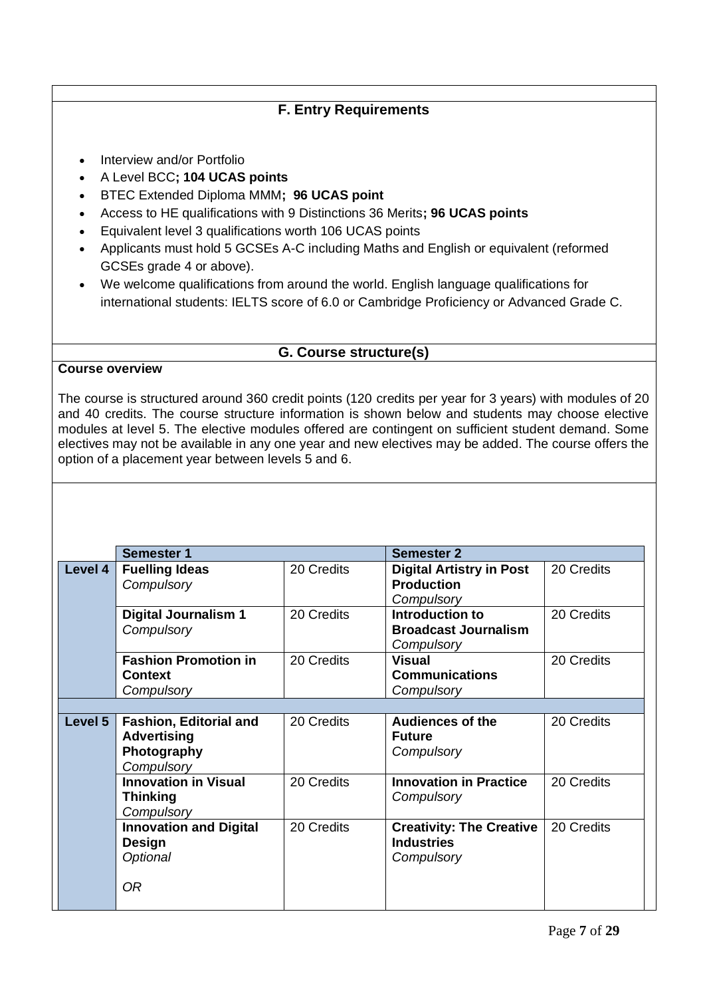# **F. Entry Requirements**

- Interview and/or Portfolio
- A Level BCC**; 104 UCAS points**
- BTEC Extended Diploma MMM**; 96 UCAS point**
- Access to HE qualifications with 9 Distinctions 36 Merits**; 96 UCAS points**
- Equivalent level 3 qualifications worth 106 UCAS points
- Applicants must hold 5 GCSEs A-C including Maths and English or equivalent (reformed GCSEs grade 4 or above).
- We welcome qualifications from around the world. English language qualifications for international students: IELTS score of 6.0 or Cambridge Proficiency or Advanced Grade C.

## **G. Course structure(s)**

#### **Course overview**

The course is structured around 360 credit points (120 credits per year for 3 years) with modules of 20 and 40 credits. The course structure information is shown below and students may choose elective modules at level 5. The elective modules offered are contingent on sufficient student demand. Some electives may not be available in any one year and new electives may be added. The course offers the option of a placement year between levels 5 and 6.

|         | <b>Semester 1</b>                                                            |            | <b>Semester 2</b>                                                  |            |  |  |  |  |
|---------|------------------------------------------------------------------------------|------------|--------------------------------------------------------------------|------------|--|--|--|--|
| Level 4 | <b>Fuelling Ideas</b><br>Compulsory                                          | 20 Credits | <b>Digital Artistry in Post</b><br><b>Production</b><br>Compulsory | 20 Credits |  |  |  |  |
|         | <b>Digital Journalism 1</b><br>Compulsory                                    | 20 Credits | Introduction to<br><b>Broadcast Journalism</b><br>Compulsory       | 20 Credits |  |  |  |  |
|         | <b>Fashion Promotion in</b><br><b>Context</b><br>Compulsory                  | 20 Credits | <b>Visual</b><br><b>Communications</b><br>Compulsory               | 20 Credits |  |  |  |  |
|         |                                                                              |            |                                                                    |            |  |  |  |  |
| Level 5 | Fashion, Editorial and<br><b>Advertising</b><br>Photography<br>Compulsory    | 20 Credits | <b>Audiences of the</b><br><b>Future</b><br>Compulsory             | 20 Credits |  |  |  |  |
|         | <b>Innovation in Visual</b><br><b>Thinking</b><br>Compulsory                 | 20 Credits | <b>Innovation in Practice</b><br>Compulsory                        | 20 Credits |  |  |  |  |
|         | <b>Innovation and Digital</b><br><b>Design</b><br>Optional<br>0 <sub>R</sub> | 20 Credits | <b>Creativity: The Creative</b><br><b>Industries</b><br>Compulsory | 20 Credits |  |  |  |  |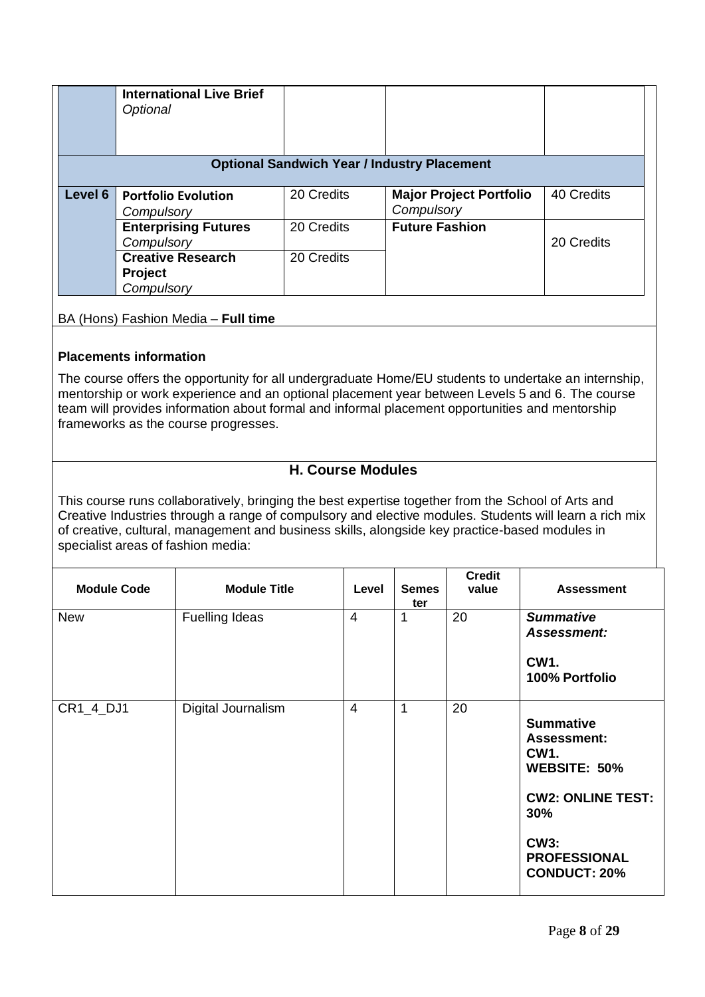|                                                    | <b>International Live Brief</b><br>Optional              |            |                                              |            |  |  |  |  |
|----------------------------------------------------|----------------------------------------------------------|------------|----------------------------------------------|------------|--|--|--|--|
| <b>Optional Sandwich Year / Industry Placement</b> |                                                          |            |                                              |            |  |  |  |  |
| Level 6                                            | <b>Portfolio Evolution</b><br>Compulsory                 | 20 Credits | <b>Major Project Portfolio</b><br>Compulsory | 40 Credits |  |  |  |  |
|                                                    | <b>Enterprising Futures</b><br>Compulsory                | 20 Credits | <b>Future Fashion</b>                        | 20 Credits |  |  |  |  |
|                                                    | <b>Creative Research</b><br><b>Project</b><br>Compulsory | 20 Credits |                                              |            |  |  |  |  |

# BA (Hons) Fashion Media – **Full time**

## **Placements information**

The course offers the opportunity for all undergraduate Home/EU students to undertake an internship, mentorship or work experience and an optional placement year between Levels 5 and 6. The course team will provides information about formal and informal placement opportunities and mentorship frameworks as the course progresses.

# **H. Course Modules**

This course runs collaboratively, bringing the best expertise together from the [School of Arts and](http://www.lsbu.ac.uk/schools/arts-and-creative-industries)  [Creative Industries](http://www.lsbu.ac.uk/schools/arts-and-creative-industries) through a range of compulsory and elective modules. Students will learn a rich mix of creative, cultural, management and business skills, alongside key practice-based modules in specialist areas of fashion media:

| <b>Module Code</b> | <b>Module Title</b>   | Level          | <b>Semes</b><br>ter | <b>Credit</b><br>value | <b>Assessment</b>                                                                                                                                                                |
|--------------------|-----------------------|----------------|---------------------|------------------------|----------------------------------------------------------------------------------------------------------------------------------------------------------------------------------|
| <b>New</b>         | <b>Fuelling Ideas</b> | $\overline{4}$ | 1                   | 20                     | <b>Summative</b><br>Assessment:<br><b>CW1.</b><br>100% Portfolio                                                                                                                 |
| CR1_4_DJ1          | Digital Journalism    | $\overline{4}$ | 1                   | 20                     | <b>Summative</b><br><b>Assessment:</b><br>CW <sub>1</sub><br><b>WEBSITE: 50%</b><br><b>CW2: ONLINE TEST:</b><br>30%<br><b>CW3:</b><br><b>PROFESSIONAL</b><br><b>CONDUCT: 20%</b> |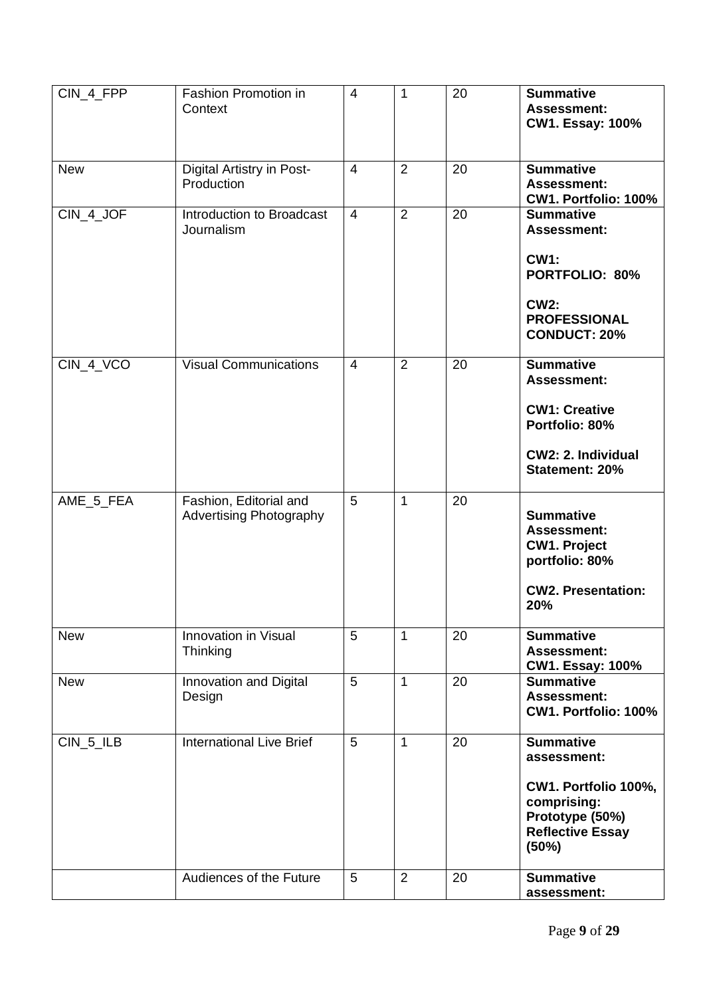| CIN_4_FPP   | <b>Fashion Promotion in</b><br>Context                   | $\overline{4}$ | $\mathbf{1}$   | 20 | <b>Summative</b><br><b>Assessment:</b><br><b>CW1. Essay: 100%</b>                                                                           |
|-------------|----------------------------------------------------------|----------------|----------------|----|---------------------------------------------------------------------------------------------------------------------------------------------|
| <b>New</b>  | Digital Artistry in Post-<br>Production                  | $\overline{4}$ | $\overline{2}$ | 20 | <b>Summative</b><br><b>Assessment:</b><br>CW1. Portfolio: 100%                                                                              |
| CIN_4_JOF   | Introduction to Broadcast<br>Journalism                  | $\overline{4}$ | $\overline{2}$ | 20 | <b>Summative</b><br><b>Assessment:</b><br><b>CW1:</b><br><b>PORTFOLIO: 80%</b><br><b>CW2:</b><br><b>PROFESSIONAL</b><br><b>CONDUCT: 20%</b> |
| CIN_4_VCO   | <b>Visual Communications</b>                             | $\overline{4}$ | $\overline{2}$ | 20 | <b>Summative</b><br><b>Assessment:</b><br><b>CW1: Creative</b><br>Portfolio: 80%<br>CW2: 2. Individual<br>Statement: 20%                    |
| AME_5_FEA   | Fashion, Editorial and<br><b>Advertising Photography</b> | 5              | $\mathbf{1}$   | 20 | <b>Summative</b><br><b>Assessment:</b><br><b>CW1. Project</b><br>portfolio: 80%<br><b>CW2. Presentation:</b><br>20%                         |
| <b>New</b>  | Innovation in Visual<br>Thinking                         | 5              | $\mathbf{1}$   | 20 | <b>Summative</b><br><b>Assessment:</b><br><b>CW1. Essay: 100%</b>                                                                           |
| <b>New</b>  | Innovation and Digital<br>Design                         | 5              | $\mathbf{1}$   | 20 | <b>Summative</b><br><b>Assessment:</b><br>CW1. Portfolio: 100%                                                                              |
| $CIN_5_ILE$ | <b>International Live Brief</b>                          | 5              | $\mathbf{1}$   | 20 | <b>Summative</b><br>assessment:<br>CW1. Portfolio 100%,<br>comprising:<br>Prototype (50%)<br><b>Reflective Essay</b><br>(50%)               |
|             | Audiences of the Future                                  | 5              | $\overline{2}$ | 20 | <b>Summative</b><br>assessment:                                                                                                             |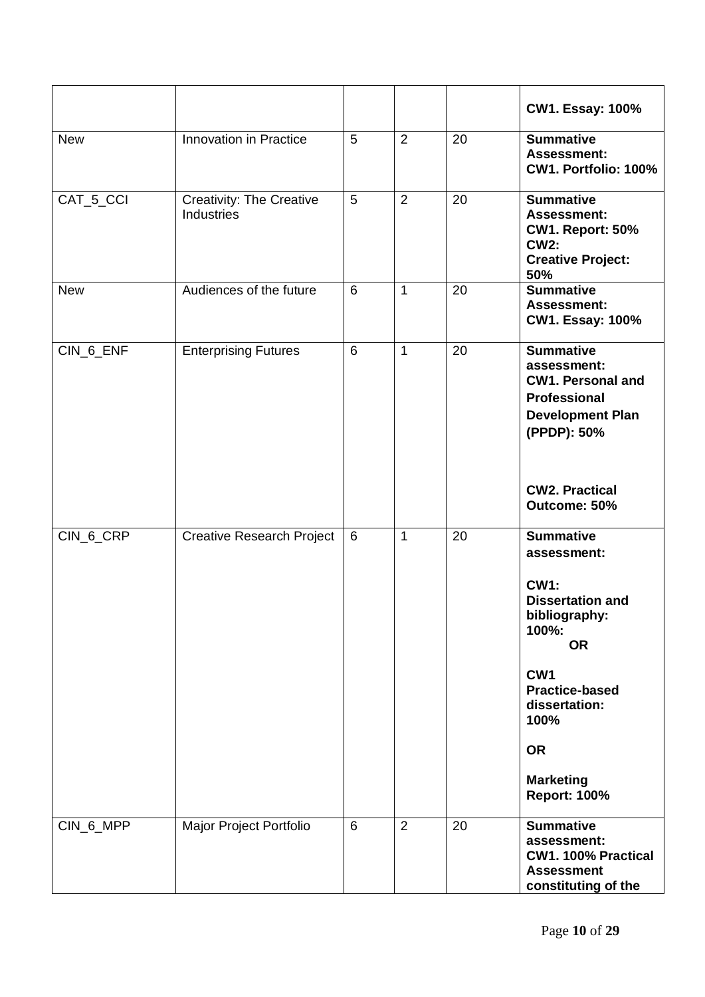|            |                                               |                 |                |    | <b>CW1. Essay: 100%</b>                                                                                                                                                                                                                       |
|------------|-----------------------------------------------|-----------------|----------------|----|-----------------------------------------------------------------------------------------------------------------------------------------------------------------------------------------------------------------------------------------------|
| <b>New</b> | Innovation in Practice                        | 5               | $\overline{2}$ | 20 | <b>Summative</b><br><b>Assessment:</b><br>CW1. Portfolio: 100%                                                                                                                                                                                |
| CAT_5_CCI  | <b>Creativity: The Creative</b><br>Industries | 5               | $\overline{2}$ | 20 | <b>Summative</b><br><b>Assessment:</b><br><b>CW1. Report: 50%</b><br><b>CW2:</b><br><b>Creative Project:</b><br>50%                                                                                                                           |
| <b>New</b> | Audiences of the future                       | 6               | $\mathbf{1}$   | 20 | <b>Summative</b><br><b>Assessment:</b><br><b>CW1. Essay: 100%</b>                                                                                                                                                                             |
| CIN_6_ENF  | <b>Enterprising Futures</b>                   | $6\phantom{1}6$ | 1              | 20 | <b>Summative</b><br>assessment:<br><b>CW1. Personal and</b><br><b>Professional</b><br><b>Development Plan</b><br>(PPDP): 50%<br><b>CW2. Practical</b>                                                                                         |
|            |                                               |                 |                |    | Outcome: 50%                                                                                                                                                                                                                                  |
| CIN_6_CRP  | Creative Research Project                     | 6               | $\mathbf{1}$   | 20 | <b>Summative</b><br>assessment:<br><b>CW1:</b><br><b>Dissertation and</b><br>bibliography:<br>100%:<br><b>OR</b><br>CW <sub>1</sub><br><b>Practice-based</b><br>dissertation:<br>100%<br><b>OR</b><br><b>Marketing</b><br><b>Report: 100%</b> |
| CIN_6_MPP  | Major Project Portfolio                       | 6               | $\overline{2}$ | 20 | <b>Summative</b><br>assessment:<br>CW1. 100% Practical<br><b>Assessment</b><br>constituting of the                                                                                                                                            |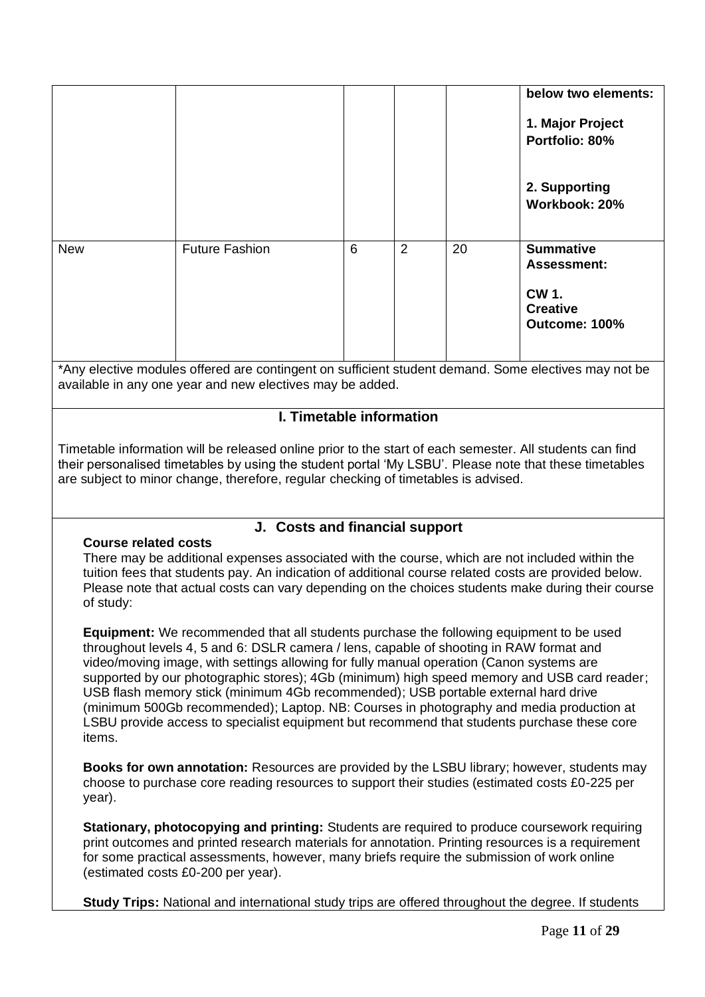|                                                                                                                                                                                                                                                                                                          |                                                                                                                                                                                                                                                                                                                                               |   |                |    | below two elements:<br>1. Major Project<br>Portfolio: 80%<br>2. Supporting<br>Workbook: 20% |  |
|----------------------------------------------------------------------------------------------------------------------------------------------------------------------------------------------------------------------------------------------------------------------------------------------------------|-----------------------------------------------------------------------------------------------------------------------------------------------------------------------------------------------------------------------------------------------------------------------------------------------------------------------------------------------|---|----------------|----|---------------------------------------------------------------------------------------------|--|
| <b>New</b>                                                                                                                                                                                                                                                                                               | Future Fashion                                                                                                                                                                                                                                                                                                                                | 6 | $\overline{2}$ | 20 | <b>Summative</b><br><b>Assessment:</b><br><b>CW 1.</b><br><b>Creative</b><br>Outcome: 100%  |  |
|                                                                                                                                                                                                                                                                                                          | *Any elective modules offered are contingent on sufficient student demand. Some electives may not be<br>available in any one year and new electives may be added.                                                                                                                                                                             |   |                |    |                                                                                             |  |
|                                                                                                                                                                                                                                                                                                          | I. Timetable information                                                                                                                                                                                                                                                                                                                      |   |                |    |                                                                                             |  |
| Timetable information will be released online prior to the start of each semester. All students can find<br>their personalised timetables by using the student portal 'My LSBU'. Please note that these timetables<br>are subject to minor change, therefore, regular checking of timetables is advised. |                                                                                                                                                                                                                                                                                                                                               |   |                |    |                                                                                             |  |
| <b>Course related costs</b><br>of study:                                                                                                                                                                                                                                                                 | J. Costs and financial support<br>There may be additional expenses associated with the course, which are not included within the<br>tuition fees that students pay. An indication of additional course related costs are provided below.<br>Please note that actual costs can vary depending on the choices students make during their course |   |                |    |                                                                                             |  |

**Equipment:** We recommended that all students purchase the following equipment to be used throughout levels 4, 5 and 6: DSLR camera / lens, capable of shooting in RAW format and video/moving image, with settings allowing for fully manual operation (Canon systems are supported by our photographic stores); 4Gb (minimum) high speed memory and USB card reader; USB flash memory stick (minimum 4Gb recommended); USB portable external hard drive (minimum 500Gb recommended); Laptop. NB: Courses in photography and media production at LSBU provide access to specialist equipment but recommend that students purchase these core items.

**Books for own annotation:** Resources are provided by the LSBU library; however, students may choose to purchase core reading resources to support their studies (estimated costs £0-225 per year).

**Stationary, photocopying and printing:** Students are required to produce coursework requiring print outcomes and printed research materials for annotation. Printing resources is a requirement for some practical assessments, however, many briefs require the submission of work online (estimated costs £0-200 per year).

**Study Trips:** National and international study trips are offered throughout the degree. If students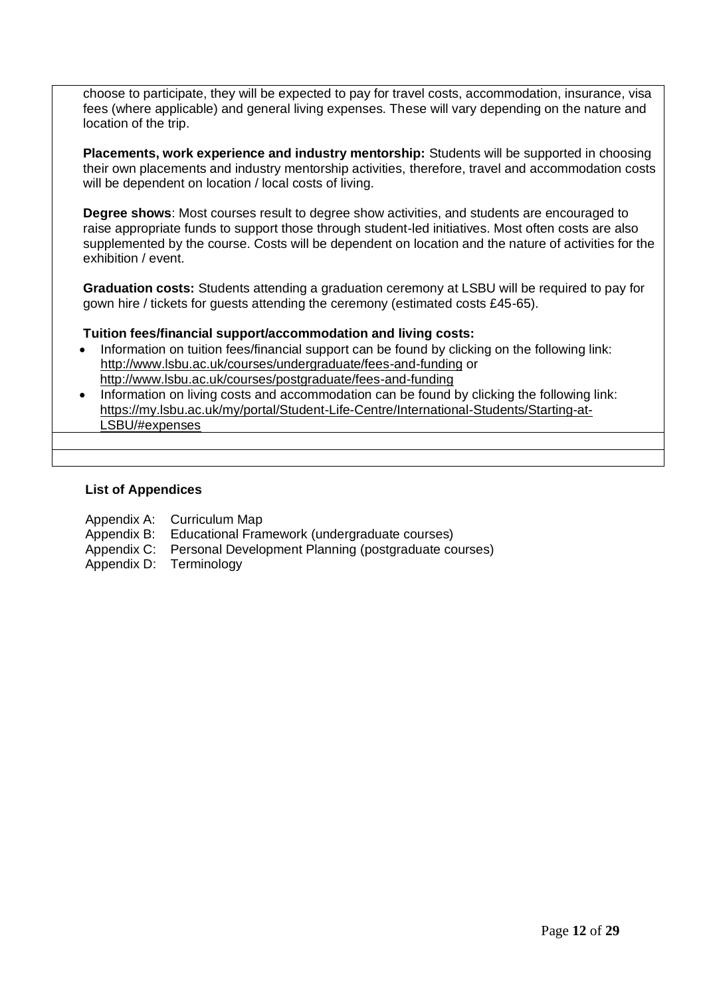choose to participate, they will be expected to pay for travel costs, accommodation, insurance, visa fees (where applicable) and general living expenses. These will vary depending on the nature and location of the trip.

**Placements, work experience and industry mentorship:** Students will be supported in choosing their own placements and industry mentorship activities, therefore, travel and accommodation costs will be dependent on location / local costs of living.

**Degree shows**: Most courses result to degree show activities, and students are encouraged to raise appropriate funds to support those through student-led initiatives. Most often costs are also supplemented by the course. Costs will be dependent on location and the nature of activities for the exhibition / event.

**Graduation costs:** Students attending a graduation ceremony at LSBU will be required to pay for gown hire / tickets for guests attending the ceremony (estimated costs £45-65).

## **Tuition fees/financial support/accommodation and living costs:**

- Information on tuition fees/financial support can be found by clicking on the following link: <http://www.lsbu.ac.uk/courses/undergraduate/fees-and-funding> or <http://www.lsbu.ac.uk/courses/postgraduate/fees-and-funding>
- Information on living costs and accommodation can be found by clicking the following link: [https://my.lsbu.ac.uk/my/portal/Student-Life-Centre/International-Students/Starting-at-](https://my.lsbu.ac.uk/my/portal/Student-Life-Centre/International-Students/Starting-at-LSBU/#expenses)[LSBU/#expenses](https://my.lsbu.ac.uk/my/portal/Student-Life-Centre/International-Students/Starting-at-LSBU/#expenses)

#### **List of Appendices**

- Appendix A: Curriculum Map
- Appendix B: Educational Framework (undergraduate courses)
- Appendix C: Personal Development Planning (postgraduate courses)
- Appendix D: Terminology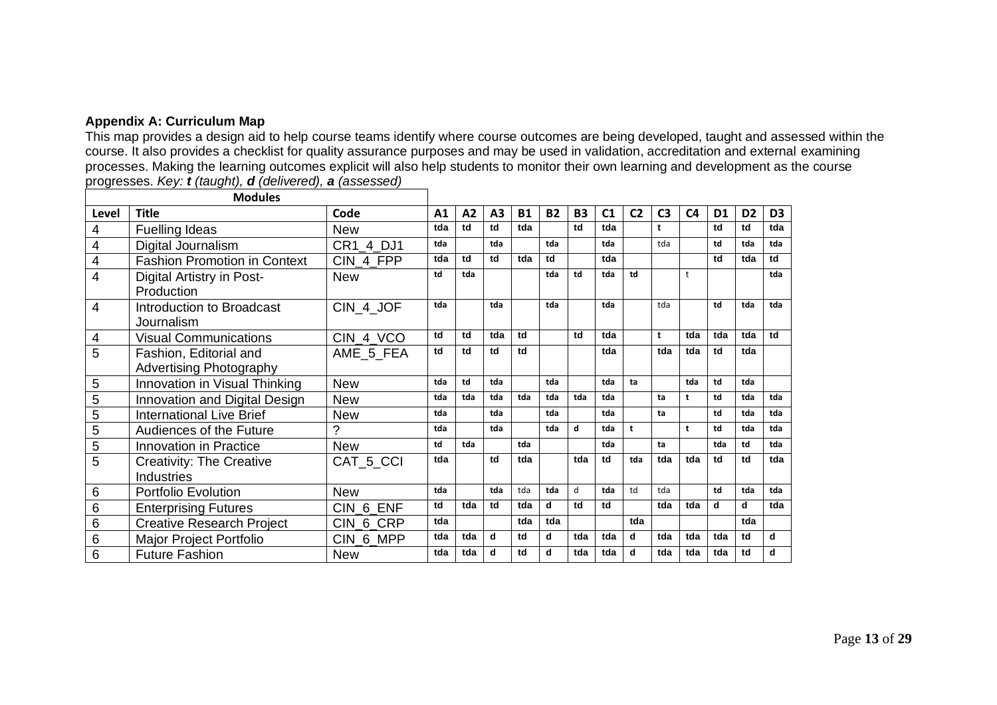## **Appendix A: Curriculum Map**

This map provides a design aid to help course teams identify where course outcomes are being developed, taught and assessed within the course. It also provides a checklist for quality assurance purposes and may be used in validation, accreditation and external examining processes. Making the learning outcomes explicit will also help students to monitor their own learning and development as the course progresses. *Key: t (taught), d (delivered), a (assessed)*

|                | <b>Modules</b>                      |            |     |     |                |           |           |           |     |                |                |                |                |                |                |
|----------------|-------------------------------------|------------|-----|-----|----------------|-----------|-----------|-----------|-----|----------------|----------------|----------------|----------------|----------------|----------------|
| Level          | <b>Title</b>                        | Code       | A1  | A2  | A <sub>3</sub> | <b>B1</b> | <b>B2</b> | <b>B3</b> | C1  | C <sub>2</sub> | C <sub>3</sub> | C <sub>4</sub> | D <sub>1</sub> | D <sub>2</sub> | D <sub>3</sub> |
| 4              | Fuelling Ideas                      | <b>New</b> | tda | td  | td             | tda       |           | td        | tda |                | t              |                | td             | td             | tda            |
| 4              | Digital Journalism                  | CR1 4 DJ1  | tda |     | tda            |           | tda       |           | tda |                | tda            |                | td             | tda            | tda            |
| 4              | <b>Fashion Promotion in Context</b> | CIN_4_FPP  | tda | td  | td             | tda       | td        |           | tda |                |                |                | td             | tda            | td             |
| 4              | Digital Artistry in Post-           | <b>New</b> | td  | tda |                |           | tda       | td        | tda | td             |                | t              |                |                | tda            |
|                | Production                          |            |     |     |                |           |           |           |     |                |                |                |                |                |                |
| 4              | Introduction to Broadcast           | CIN 4 JOF  | tda |     | tda            |           | tda       |           | tda |                | tda            |                | td             | tda            | tda            |
|                | Journalism                          |            |     |     |                |           |           |           |     |                |                |                |                |                |                |
| 4              | <b>Visual Communications</b>        | CIN 4 VCO  | td  | td  | tda            | td        |           | td        | tda |                | t              | tda            | tda            | tda            | td             |
| 5              | Fashion, Editorial and              | AME 5 FEA  | td  | td  | td             | td        |           |           | tda |                | tda            | tda            | td             | tda            |                |
|                | <b>Advertising Photography</b>      |            |     |     |                |           |           |           |     |                |                |                |                |                |                |
| 5              | Innovation in Visual Thinking       | <b>New</b> | tda | td  | tda            |           | tda       |           | tda | ta             |                | tda            | td             | tda            |                |
| $\sqrt{5}$     | Innovation and Digital Design       | <b>New</b> | tda | tda | tda            | tda       | tda       | tda       | tda |                | ta             | t              | td             | tda            | tda            |
| $\overline{5}$ | <b>International Live Brief</b>     | <b>New</b> | tda |     | tda            |           | tda       |           | tda |                | ta             |                | td             | tda            | tda            |
| 5              | Audiences of the Future             | ?          | tda |     | tda            |           | tda       | d         | tda | t              |                | $\mathbf{t}$   | td             | tda            | tda            |
| $\overline{5}$ | Innovation in Practice              | <b>New</b> | td  | tda |                | tda       |           |           | tda |                | ta             |                | tda            | td             | tda            |
| 5              | <b>Creativity: The Creative</b>     | CAT 5 CCI  | tda |     | td             | tda       |           | tda       | td  | tda            | tda            | tda            | td             | td             | tda            |
|                | <b>Industries</b>                   |            |     |     |                |           |           |           |     |                |                |                |                |                |                |
| 6              | <b>Portfolio Evolution</b>          | <b>New</b> | tda |     | tda            | tda       | tda       | d         | tda | td             | tda            |                | td             | tda            | tda            |
| 6              | <b>Enterprising Futures</b>         | CIN 6 ENF  | td  | tda | td             | tda       | d         | td        | td  |                | tda            | tda            | d              | d              | tda            |
| 6              | <b>Creative Research Project</b>    | CIN 6 CRP  | tda |     |                | tda       | tda       |           |     | tda            |                |                |                | tda            |                |
| 6              | Major Project Portfolio             | CIN 6 MPP  | tda | tda | d              | td        | d         | tda       | tda | d              | tda            | tda            | tda            | td             | d              |
| 6              | <b>Future Fashion</b>               | <b>New</b> | tda | tda | d              | td        | d         | tda       | tda | d              | tda            | tda            | tda            | td             | d              |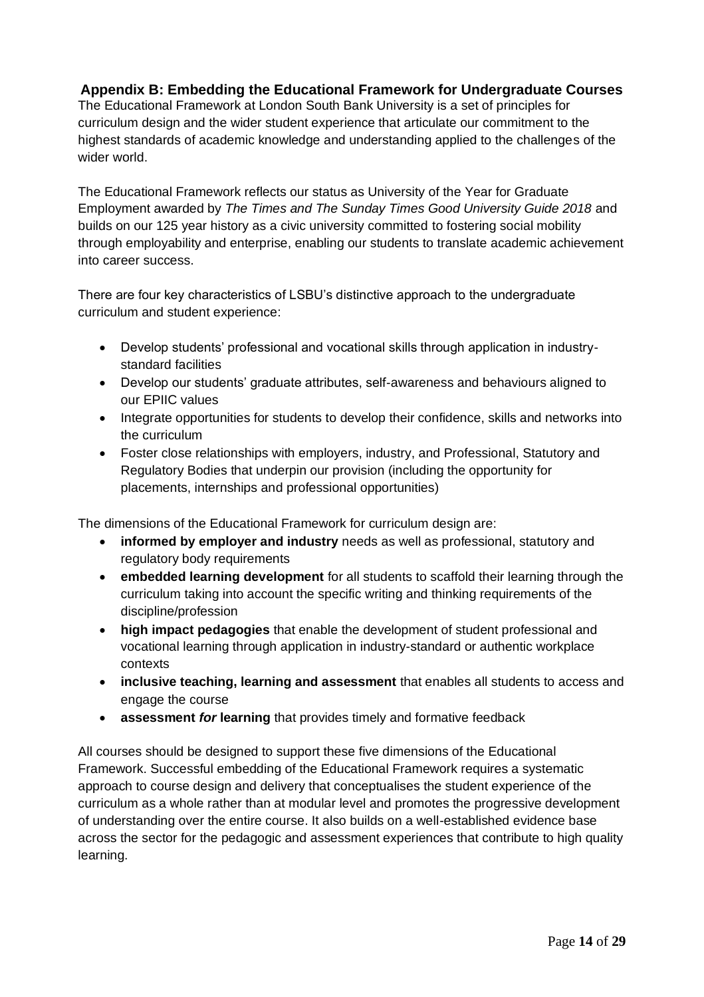# **Appendix B: Embedding the Educational Framework for Undergraduate Courses**

The Educational Framework at London South Bank University is a set of principles for curriculum design and the wider student experience that articulate our commitment to the highest standards of academic knowledge and understanding applied to the challenges of the wider world.

The Educational Framework reflects our status as University of the Year for Graduate Employment awarded by *The Times and The Sunday Times Good University Guide 2018* and builds on our 125 year history as a civic university committed to fostering social mobility through employability and enterprise, enabling our students to translate academic achievement into career success.

There are four key characteristics of LSBU's distinctive approach to the undergraduate curriculum and student experience:

- Develop students' professional and vocational skills through application in industrystandard facilities
- Develop our students' graduate attributes, self-awareness and behaviours aligned to our EPIIC values
- Integrate opportunities for students to develop their confidence, skills and networks into the curriculum
- Foster close relationships with employers, industry, and Professional, Statutory and Regulatory Bodies that underpin our provision (including the opportunity for placements, internships and professional opportunities)

The dimensions of the Educational Framework for curriculum design are:

- **informed by employer and industry** needs as well as professional, statutory and regulatory body requirements
- **embedded learning development** for all students to scaffold their learning through the curriculum taking into account the specific writing and thinking requirements of the discipline/profession
- **high impact pedagogies** that enable the development of student professional and vocational learning through application in industry-standard or authentic workplace contexts
- **inclusive teaching, learning and assessment** that enables all students to access and engage the course
- **assessment** *for* **learning** that provides timely and formative feedback

All courses should be designed to support these five dimensions of the Educational Framework. Successful embedding of the Educational Framework requires a systematic approach to course design and delivery that conceptualises the student experience of the curriculum as a whole rather than at modular level and promotes the progressive development of understanding over the entire course. It also builds on a well-established evidence base across the sector for the pedagogic and assessment experiences that contribute to high quality learning.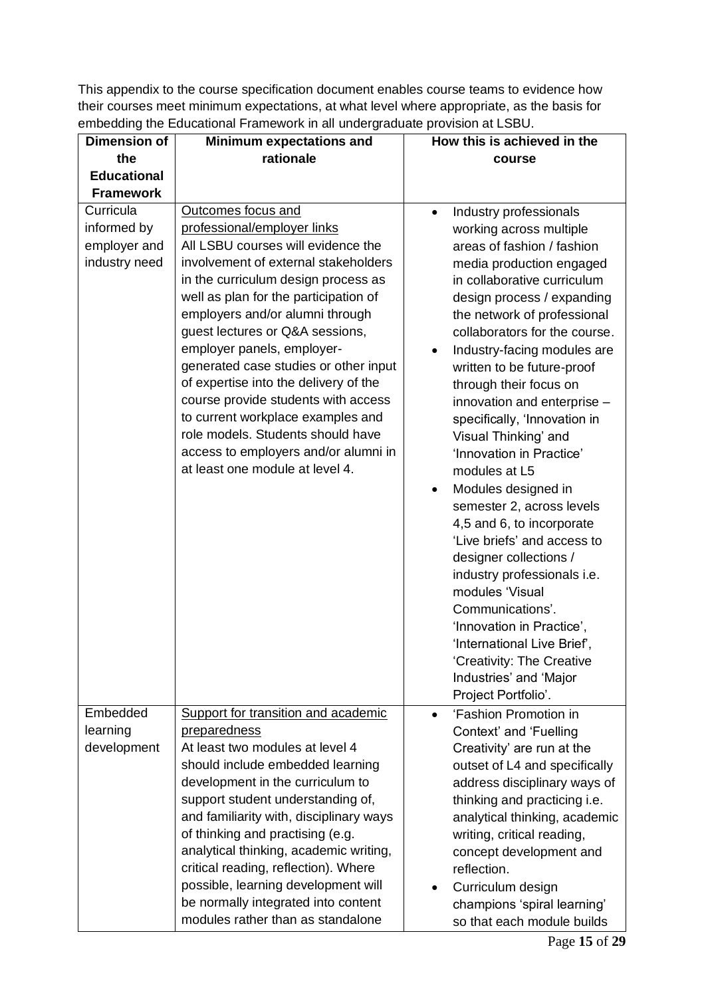This appendix to the course specification document enables course teams to evidence how their courses meet minimum expectations, at what level where appropriate, as the basis for embedding the Educational Framework in all undergraduate provision at LSBU.

| <b>Dimension of</b>                                       | <b>Minimum expectations and</b>                                                                                                                                                                                                                                                                                                                                                                                                                                                                                                                                                                   | How this is achieved in the                                                                                                                                                                                                                                                                                                                                                                                                                                                                                                                                                                                                                                                                                                                                                            |  |
|-----------------------------------------------------------|---------------------------------------------------------------------------------------------------------------------------------------------------------------------------------------------------------------------------------------------------------------------------------------------------------------------------------------------------------------------------------------------------------------------------------------------------------------------------------------------------------------------------------------------------------------------------------------------------|----------------------------------------------------------------------------------------------------------------------------------------------------------------------------------------------------------------------------------------------------------------------------------------------------------------------------------------------------------------------------------------------------------------------------------------------------------------------------------------------------------------------------------------------------------------------------------------------------------------------------------------------------------------------------------------------------------------------------------------------------------------------------------------|--|
| the                                                       | rationale                                                                                                                                                                                                                                                                                                                                                                                                                                                                                                                                                                                         | course                                                                                                                                                                                                                                                                                                                                                                                                                                                                                                                                                                                                                                                                                                                                                                                 |  |
| <b>Educational</b>                                        |                                                                                                                                                                                                                                                                                                                                                                                                                                                                                                                                                                                                   |                                                                                                                                                                                                                                                                                                                                                                                                                                                                                                                                                                                                                                                                                                                                                                                        |  |
| <b>Framework</b>                                          |                                                                                                                                                                                                                                                                                                                                                                                                                                                                                                                                                                                                   |                                                                                                                                                                                                                                                                                                                                                                                                                                                                                                                                                                                                                                                                                                                                                                                        |  |
| Curricula<br>informed by<br>employer and<br>industry need | Outcomes focus and<br>professional/employer links<br>All LSBU courses will evidence the<br>involvement of external stakeholders<br>in the curriculum design process as<br>well as plan for the participation of<br>employers and/or alumni through<br>guest lectures or Q&A sessions,<br>employer panels, employer-<br>generated case studies or other input<br>of expertise into the delivery of the<br>course provide students with access<br>to current workplace examples and<br>role models. Students should have<br>access to employers and/or alumni in<br>at least one module at level 4. | Industry professionals<br>$\bullet$<br>working across multiple<br>areas of fashion / fashion<br>media production engaged<br>in collaborative curriculum<br>design process / expanding<br>the network of professional<br>collaborators for the course.<br>Industry-facing modules are<br>$\bullet$<br>written to be future-proof<br>through their focus on<br>innovation and enterprise -<br>specifically, 'Innovation in<br>Visual Thinking' and<br>'Innovation in Practice'<br>modules at L5<br>Modules designed in<br>$\bullet$<br>semester 2, across levels<br>4,5 and 6, to incorporate<br>'Live briefs' and access to<br>designer collections /<br>industry professionals i.e.<br>modules 'Visual<br>Communications'.<br>'Innovation in Practice',<br>'International Live Brief', |  |
|                                                           |                                                                                                                                                                                                                                                                                                                                                                                                                                                                                                                                                                                                   | 'Creativity: The Creative<br>Industries' and 'Major<br>Project Portfolio'.                                                                                                                                                                                                                                                                                                                                                                                                                                                                                                                                                                                                                                                                                                             |  |
| Embedded<br>learning<br>development                       | Support for transition and academic<br>preparedness<br>At least two modules at level 4<br>should include embedded learning<br>development in the curriculum to<br>support student understanding of,<br>and familiarity with, disciplinary ways<br>of thinking and practising (e.g.<br>analytical thinking, academic writing,<br>critical reading, reflection). Where<br>possible, learning development will<br>be normally integrated into content<br>modules rather than as standalone                                                                                                           | 'Fashion Promotion in<br>$\bullet$<br>Context' and 'Fuelling<br>Creativity' are run at the<br>outset of L4 and specifically<br>address disciplinary ways of<br>thinking and practicing i.e.<br>analytical thinking, academic<br>writing, critical reading,<br>concept development and<br>reflection.<br>Curriculum design<br>champions 'spiral learning'<br>so that each module builds                                                                                                                                                                                                                                                                                                                                                                                                 |  |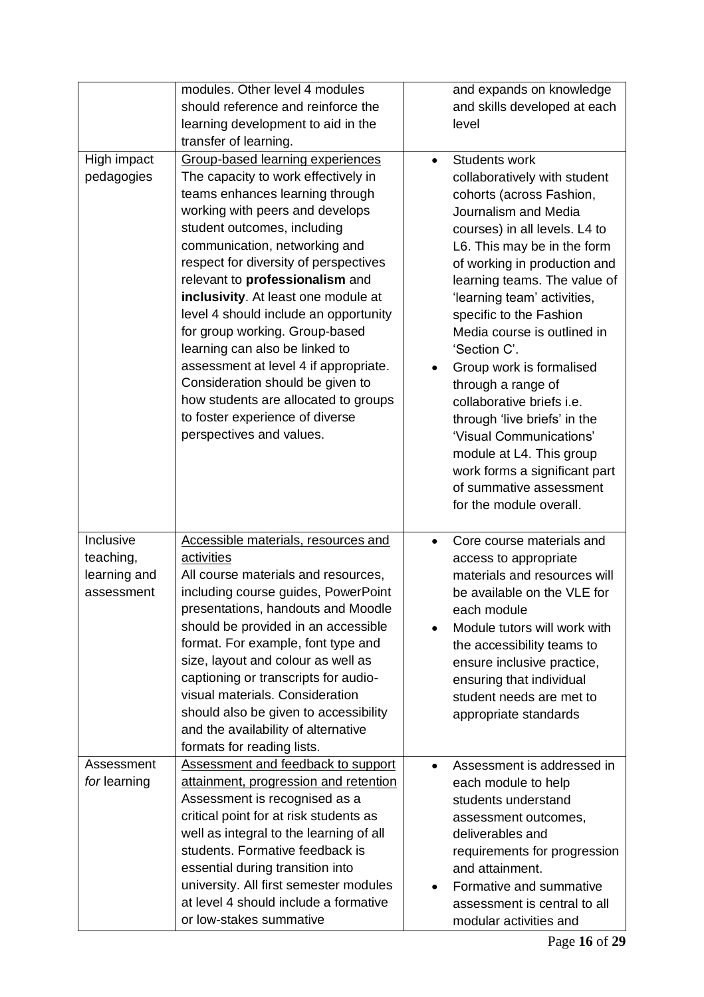| High impact<br>pedagogies                            | modules. Other level 4 modules<br>should reference and reinforce the<br>learning development to aid in the<br>transfer of learning.<br>Group-based learning experiences<br>The capacity to work effectively in<br>teams enhances learning through<br>working with peers and develops<br>student outcomes, including<br>communication, networking and<br>respect for diversity of perspectives<br>relevant to professionalism and<br>inclusivity. At least one module at<br>level 4 should include an opportunity<br>for group working. Group-based<br>learning can also be linked to<br>assessment at level 4 if appropriate.<br>Consideration should be given to<br>how students are allocated to groups<br>to foster experience of diverse<br>perspectives and values. | and expands on knowledge<br>and skills developed at each<br>level<br>Students work<br>$\bullet$<br>collaboratively with student<br>cohorts (across Fashion,<br>Journalism and Media<br>courses) in all levels. L4 to<br>L6. This may be in the form<br>of working in production and<br>learning teams. The value of<br>'learning team' activities,<br>specific to the Fashion<br>Media course is outlined in<br>'Section C'.<br>Group work is formalised<br>$\bullet$<br>through a range of<br>collaborative briefs i.e.<br>through 'live briefs' in the<br>'Visual Communications'<br>module at L4. This group<br>work forms a significant part<br>of summative assessment<br>for the module overall. |
|------------------------------------------------------|--------------------------------------------------------------------------------------------------------------------------------------------------------------------------------------------------------------------------------------------------------------------------------------------------------------------------------------------------------------------------------------------------------------------------------------------------------------------------------------------------------------------------------------------------------------------------------------------------------------------------------------------------------------------------------------------------------------------------------------------------------------------------|--------------------------------------------------------------------------------------------------------------------------------------------------------------------------------------------------------------------------------------------------------------------------------------------------------------------------------------------------------------------------------------------------------------------------------------------------------------------------------------------------------------------------------------------------------------------------------------------------------------------------------------------------------------------------------------------------------|
| Inclusive<br>teaching,<br>learning and<br>assessment | Accessible materials, resources and<br>activities<br>All course materials and resources,<br>including course guides, PowerPoint<br>presentations, handouts and Moodle<br>should be provided in an accessible<br>format. For example, font type and<br>size, layout and colour as well as<br>captioning or transcripts for audio-<br>visual materials. Consideration<br>should also be given to accessibility<br>and the availability of alternative                                                                                                                                                                                                                                                                                                                      | Core course materials and<br>$\bullet$<br>access to appropriate<br>materials and resources will<br>be available on the VLE for<br>each module<br>Module tutors will work with<br>the accessibility teams to<br>ensure inclusive practice,<br>ensuring that individual<br>student needs are met to<br>appropriate standards                                                                                                                                                                                                                                                                                                                                                                             |
| Assessment<br>for learning                           | formats for reading lists.<br>Assessment and feedback to support<br>attainment, progression and retention<br>Assessment is recognised as a<br>critical point for at risk students as<br>well as integral to the learning of all<br>students. Formative feedback is<br>essential during transition into<br>university. All first semester modules<br>at level 4 should include a formative<br>or low-stakes summative                                                                                                                                                                                                                                                                                                                                                     | Assessment is addressed in<br>$\bullet$<br>each module to help<br>students understand<br>assessment outcomes,<br>deliverables and<br>requirements for progression<br>and attainment.<br>Formative and summative<br>assessment is central to all<br>modular activities and                                                                                                                                                                                                                                                                                                                                                                                                                              |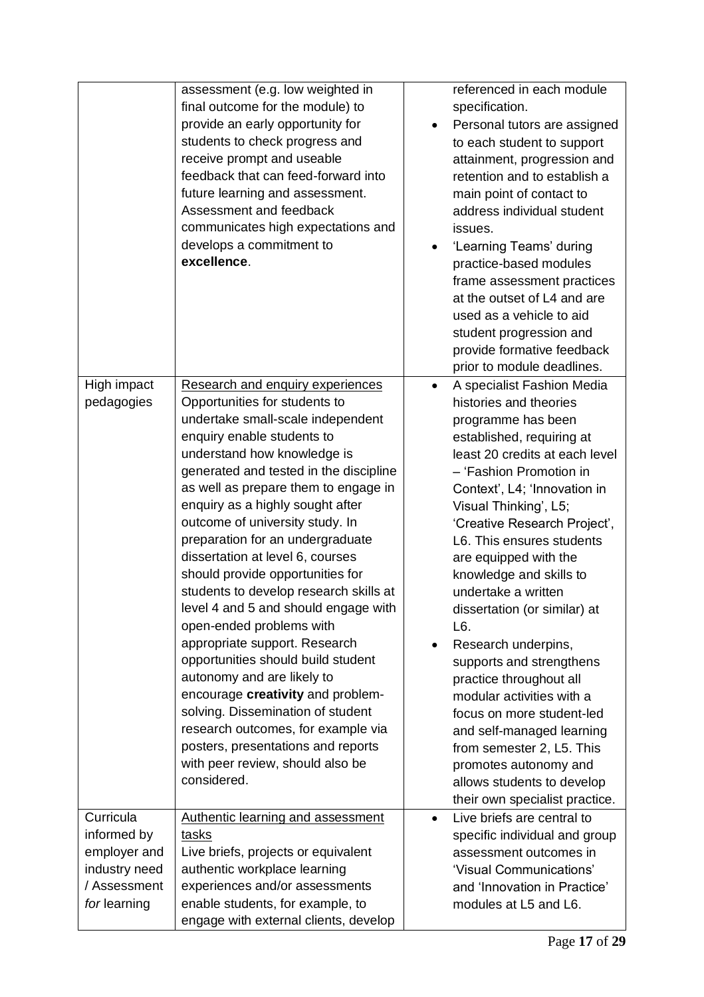|                           | assessment (e.g. low weighted in<br>final outcome for the module) to<br>provide an early opportunity for<br>students to check progress and<br>receive prompt and useable<br>feedback that can feed-forward into<br>future learning and assessment.<br>Assessment and feedback<br>communicates high expectations and<br>develops a commitment to<br>excellence.                                                                                                                                                                                                                                                                                                                                                                                                                                                                                                       | $\bullet$ | referenced in each module<br>specification.<br>Personal tutors are assigned<br>to each student to support<br>attainment, progression and<br>retention and to establish a<br>main point of contact to<br>address individual student<br>issues.<br>'Learning Teams' during<br>practice-based modules<br>frame assessment practices<br>at the outset of L4 and are<br>used as a vehicle to aid<br>student progression and<br>provide formative feedback<br>prior to module deadlines.                                                                                                                                                                                                                      |
|---------------------------|----------------------------------------------------------------------------------------------------------------------------------------------------------------------------------------------------------------------------------------------------------------------------------------------------------------------------------------------------------------------------------------------------------------------------------------------------------------------------------------------------------------------------------------------------------------------------------------------------------------------------------------------------------------------------------------------------------------------------------------------------------------------------------------------------------------------------------------------------------------------|-----------|---------------------------------------------------------------------------------------------------------------------------------------------------------------------------------------------------------------------------------------------------------------------------------------------------------------------------------------------------------------------------------------------------------------------------------------------------------------------------------------------------------------------------------------------------------------------------------------------------------------------------------------------------------------------------------------------------------|
| High impact<br>pedagogies | Research and enquiry experiences<br>Opportunities for students to<br>undertake small-scale independent<br>enquiry enable students to<br>understand how knowledge is<br>generated and tested in the discipline<br>as well as prepare them to engage in<br>enquiry as a highly sought after<br>outcome of university study. In<br>preparation for an undergraduate<br>dissertation at level 6, courses<br>should provide opportunities for<br>students to develop research skills at<br>level 4 and 5 and should engage with<br>open-ended problems with<br>appropriate support. Research<br>opportunities should build student<br>autonomy and are likely to<br>encourage creativity and problem-<br>solving. Dissemination of student<br>research outcomes, for example via<br>posters, presentations and reports<br>with peer review, should also be<br>considered. | $\bullet$ | A specialist Fashion Media<br>histories and theories<br>programme has been<br>established, requiring at<br>least 20 credits at each level<br>- 'Fashion Promotion in<br>Context', L4; 'Innovation in<br>Visual Thinking', L5;<br>'Creative Research Project',<br>L6. This ensures students<br>are equipped with the<br>knowledge and skills to<br>undertake a written<br>dissertation (or similar) at<br>L6.<br>Research underpins,<br>supports and strengthens<br>practice throughout all<br>modular activities with a<br>focus on more student-led<br>and self-managed learning<br>from semester 2, L5. This<br>promotes autonomy and<br>allows students to develop<br>their own specialist practice. |
| Curricula<br>informed by  | Authentic learning and assessment<br>tasks                                                                                                                                                                                                                                                                                                                                                                                                                                                                                                                                                                                                                                                                                                                                                                                                                           | $\bullet$ | Live briefs are central to<br>specific individual and group                                                                                                                                                                                                                                                                                                                                                                                                                                                                                                                                                                                                                                             |
| employer and              | Live briefs, projects or equivalent                                                                                                                                                                                                                                                                                                                                                                                                                                                                                                                                                                                                                                                                                                                                                                                                                                  |           | assessment outcomes in                                                                                                                                                                                                                                                                                                                                                                                                                                                                                                                                                                                                                                                                                  |
| industry need             | authentic workplace learning                                                                                                                                                                                                                                                                                                                                                                                                                                                                                                                                                                                                                                                                                                                                                                                                                                         |           | 'Visual Communications'                                                                                                                                                                                                                                                                                                                                                                                                                                                                                                                                                                                                                                                                                 |
| / Assessment              | experiences and/or assessments                                                                                                                                                                                                                                                                                                                                                                                                                                                                                                                                                                                                                                                                                                                                                                                                                                       |           | and 'Innovation in Practice'                                                                                                                                                                                                                                                                                                                                                                                                                                                                                                                                                                                                                                                                            |
| for learning              | enable students, for example, to                                                                                                                                                                                                                                                                                                                                                                                                                                                                                                                                                                                                                                                                                                                                                                                                                                     |           | modules at L5 and L6.                                                                                                                                                                                                                                                                                                                                                                                                                                                                                                                                                                                                                                                                                   |
|                           | engage with external clients, develop                                                                                                                                                                                                                                                                                                                                                                                                                                                                                                                                                                                                                                                                                                                                                                                                                                |           |                                                                                                                                                                                                                                                                                                                                                                                                                                                                                                                                                                                                                                                                                                         |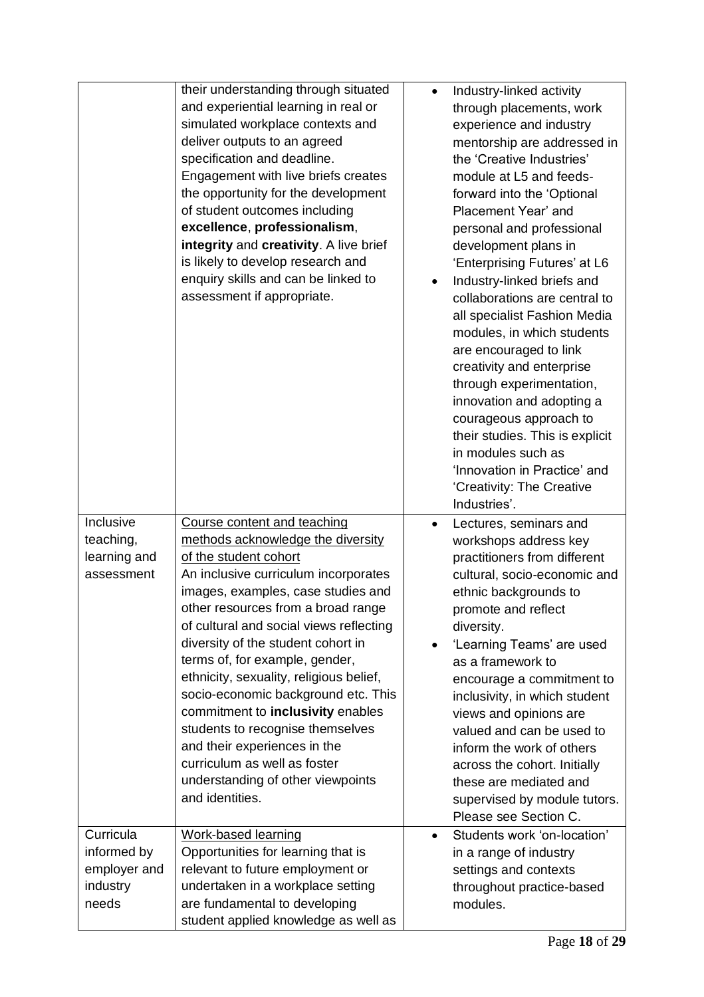|                                                               | their understanding through situated<br>and experiential learning in real or<br>simulated workplace contexts and<br>deliver outputs to an agreed<br>specification and deadline.<br>Engagement with live briefs creates<br>the opportunity for the development<br>of student outcomes including<br>excellence, professionalism,<br>integrity and creativity. A live brief<br>is likely to develop research and<br>enquiry skills and can be linked to<br>assessment if appropriate.                                                                                                                                  | $\bullet$              | Industry-linked activity<br>through placements, work<br>experience and industry<br>mentorship are addressed in<br>the 'Creative Industries'<br>module at L5 and feeds-<br>forward into the 'Optional<br>Placement Year' and<br>personal and professional<br>development plans in<br>'Enterprising Futures' at L6<br>Industry-linked briefs and<br>collaborations are central to<br>all specialist Fashion Media<br>modules, in which students<br>are encouraged to link<br>creativity and enterprise<br>through experimentation,<br>innovation and adopting a<br>courageous approach to<br>their studies. This is explicit<br>in modules such as<br>'Innovation in Practice' and<br>'Creativity: The Creative<br>Industries'. |
|---------------------------------------------------------------|---------------------------------------------------------------------------------------------------------------------------------------------------------------------------------------------------------------------------------------------------------------------------------------------------------------------------------------------------------------------------------------------------------------------------------------------------------------------------------------------------------------------------------------------------------------------------------------------------------------------|------------------------|-------------------------------------------------------------------------------------------------------------------------------------------------------------------------------------------------------------------------------------------------------------------------------------------------------------------------------------------------------------------------------------------------------------------------------------------------------------------------------------------------------------------------------------------------------------------------------------------------------------------------------------------------------------------------------------------------------------------------------|
| Inclusive<br>teaching,<br>learning and<br>assessment          | Course content and teaching<br>methods acknowledge the diversity<br>of the student cohort<br>An inclusive curriculum incorporates<br>images, examples, case studies and<br>other resources from a broad range<br>of cultural and social views reflecting<br>diversity of the student cohort in<br>terms of, for example, gender,<br>ethnicity, sexuality, religious belief,<br>socio-economic background etc. This<br>commitment to inclusivity enables<br>students to recognise themselves<br>and their experiences in the<br>curriculum as well as foster<br>understanding of other viewpoints<br>and identities. | $\bullet$<br>$\bullet$ | Lectures, seminars and<br>workshops address key<br>practitioners from different<br>cultural, socio-economic and<br>ethnic backgrounds to<br>promote and reflect<br>diversity.<br>'Learning Teams' are used<br>as a framework to<br>encourage a commitment to<br>inclusivity, in which student<br>views and opinions are<br>valued and can be used to<br>inform the work of others<br>across the cohort. Initially<br>these are mediated and<br>supervised by module tutors.<br>Please see Section C.                                                                                                                                                                                                                          |
| Curricula<br>informed by<br>employer and<br>industry<br>needs | <b>Work-based learning</b><br>Opportunities for learning that is<br>relevant to future employment or<br>undertaken in a workplace setting<br>are fundamental to developing<br>student applied knowledge as well as                                                                                                                                                                                                                                                                                                                                                                                                  | $\bullet$              | Students work 'on-location'<br>in a range of industry<br>settings and contexts<br>throughout practice-based<br>modules.                                                                                                                                                                                                                                                                                                                                                                                                                                                                                                                                                                                                       |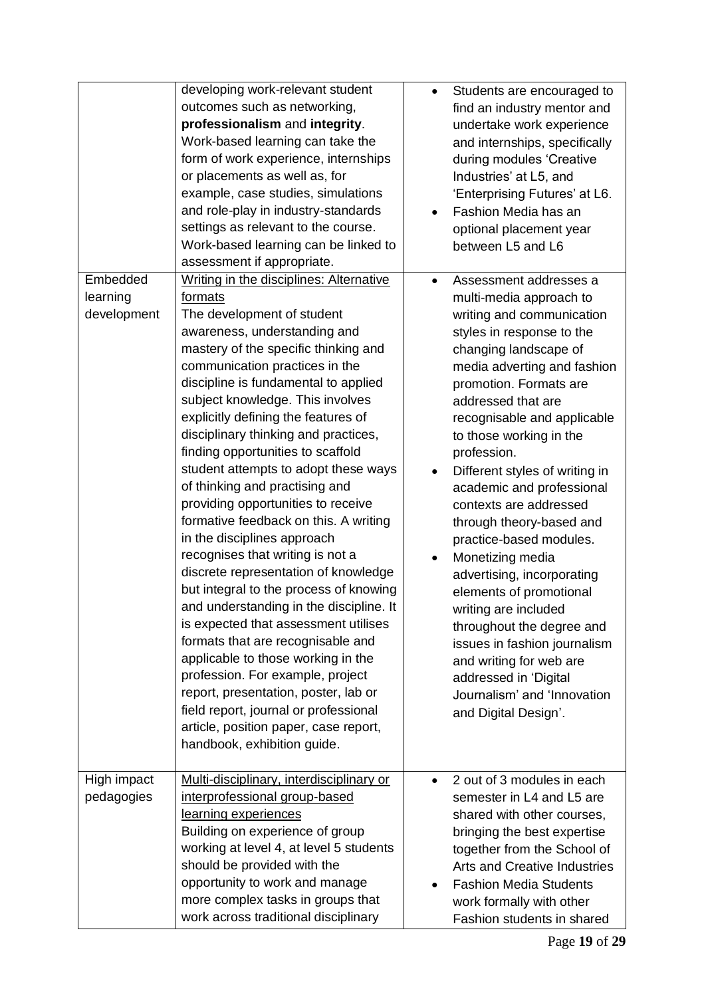|                                     | developing work-relevant student<br>outcomes such as networking,<br>professionalism and integrity.<br>Work-based learning can take the<br>form of work experience, internships<br>or placements as well as, for<br>example, case studies, simulations<br>and role-play in industry-standards<br>settings as relevant to the course.<br>Work-based learning can be linked to<br>assessment if appropriate.                                                                                                                                                                                                                                                                                                                                                                                                                                                                                                                                                                                                                                                           | Students are encouraged to<br>$\bullet$<br>find an industry mentor and<br>undertake work experience<br>and internships, specifically<br>during modules 'Creative<br>Industries' at L5, and<br>'Enterprising Futures' at L6.<br>Fashion Media has an<br>optional placement year<br>between L5 and L6                                                                                                                                                                                                                                                                                                                                                                                                                       |
|-------------------------------------|---------------------------------------------------------------------------------------------------------------------------------------------------------------------------------------------------------------------------------------------------------------------------------------------------------------------------------------------------------------------------------------------------------------------------------------------------------------------------------------------------------------------------------------------------------------------------------------------------------------------------------------------------------------------------------------------------------------------------------------------------------------------------------------------------------------------------------------------------------------------------------------------------------------------------------------------------------------------------------------------------------------------------------------------------------------------|---------------------------------------------------------------------------------------------------------------------------------------------------------------------------------------------------------------------------------------------------------------------------------------------------------------------------------------------------------------------------------------------------------------------------------------------------------------------------------------------------------------------------------------------------------------------------------------------------------------------------------------------------------------------------------------------------------------------------|
| Embedded<br>learning<br>development | Writing in the disciplines: Alternative<br>formats<br>The development of student<br>awareness, understanding and<br>mastery of the specific thinking and<br>communication practices in the<br>discipline is fundamental to applied<br>subject knowledge. This involves<br>explicitly defining the features of<br>disciplinary thinking and practices,<br>finding opportunities to scaffold<br>student attempts to adopt these ways<br>of thinking and practising and<br>providing opportunities to receive<br>formative feedback on this. A writing<br>in the disciplines approach<br>recognises that writing is not a<br>discrete representation of knowledge<br>but integral to the process of knowing<br>and understanding in the discipline. It<br>is expected that assessment utilises<br>formats that are recognisable and<br>applicable to those working in the<br>profession. For example, project<br>report, presentation, poster, lab or<br>field report, journal or professional<br>article, position paper, case report,<br>handbook, exhibition guide. | Assessment addresses a<br>multi-media approach to<br>writing and communication<br>styles in response to the<br>changing landscape of<br>media adverting and fashion<br>promotion. Formats are<br>addressed that are<br>recognisable and applicable<br>to those working in the<br>profession.<br>Different styles of writing in<br>academic and professional<br>contexts are addressed<br>through theory-based and<br>practice-based modules.<br>Monetizing media<br>advertising, incorporating<br>elements of promotional<br>writing are included<br>throughout the degree and<br>issues in fashion journalism<br>and writing for web are<br>addressed in 'Digital<br>Journalism' and 'Innovation<br>and Digital Design'. |
| High impact<br>pedagogies           | Multi-disciplinary, interdisciplinary or<br>interprofessional group-based<br>learning experiences<br>Building on experience of group<br>working at level 4, at level 5 students<br>should be provided with the<br>opportunity to work and manage<br>more complex tasks in groups that<br>work across traditional disciplinary                                                                                                                                                                                                                                                                                                                                                                                                                                                                                                                                                                                                                                                                                                                                       | 2 out of 3 modules in each<br>$\bullet$<br>semester in L4 and L5 are<br>shared with other courses,<br>bringing the best expertise<br>together from the School of<br><b>Arts and Creative Industries</b><br><b>Fashion Media Students</b><br>work formally with other<br>Fashion students in shared                                                                                                                                                                                                                                                                                                                                                                                                                        |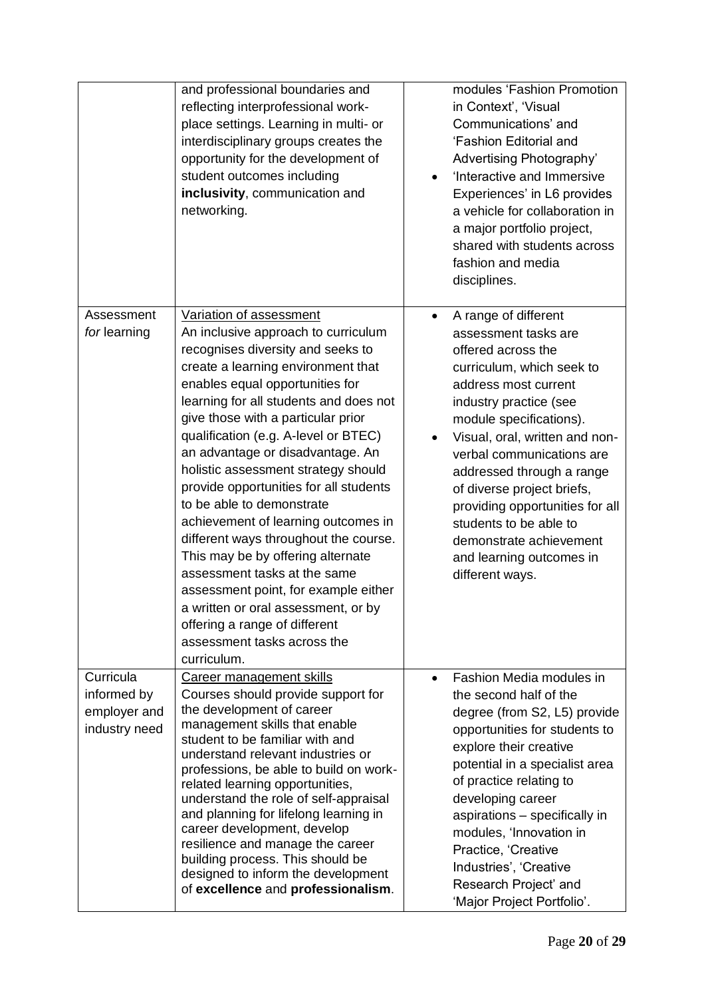|                                                           | and professional boundaries and<br>reflecting interprofessional work-<br>place settings. Learning in multi- or<br>interdisciplinary groups creates the<br>opportunity for the development of<br>student outcomes including<br>inclusivity, communication and<br>networking.                                                                                                                                                                                                                                                                                                                                                                                                                                                                                               | modules 'Fashion Promotion<br>in Context', 'Visual<br>Communications' and<br>'Fashion Editorial and<br>Advertising Photography'<br>'Interactive and Immersive<br>Experiences' in L6 provides<br>a vehicle for collaboration in<br>a major portfolio project,<br>shared with students across<br>fashion and media<br>disciplines.                                                                                                                           |
|-----------------------------------------------------------|---------------------------------------------------------------------------------------------------------------------------------------------------------------------------------------------------------------------------------------------------------------------------------------------------------------------------------------------------------------------------------------------------------------------------------------------------------------------------------------------------------------------------------------------------------------------------------------------------------------------------------------------------------------------------------------------------------------------------------------------------------------------------|------------------------------------------------------------------------------------------------------------------------------------------------------------------------------------------------------------------------------------------------------------------------------------------------------------------------------------------------------------------------------------------------------------------------------------------------------------|
| Assessment<br>for learning                                | Variation of assessment<br>An inclusive approach to curriculum<br>recognises diversity and seeks to<br>create a learning environment that<br>enables equal opportunities for<br>learning for all students and does not<br>give those with a particular prior<br>qualification (e.g. A-level or BTEC)<br>an advantage or disadvantage. An<br>holistic assessment strategy should<br>provide opportunities for all students<br>to be able to demonstrate<br>achievement of learning outcomes in<br>different ways throughout the course.<br>This may be by offering alternate<br>assessment tasks at the same<br>assessment point, for example either<br>a written or oral assessment, or by<br>offering a range of different<br>assessment tasks across the<br>curriculum. | A range of different<br>$\bullet$<br>assessment tasks are<br>offered across the<br>curriculum, which seek to<br>address most current<br>industry practice (see<br>module specifications).<br>Visual, oral, written and non-<br>verbal communications are<br>addressed through a range<br>of diverse project briefs,<br>providing opportunities for all<br>students to be able to<br>demonstrate achievement<br>and learning outcomes in<br>different ways. |
| Curricula<br>informed by<br>employer and<br>industry need | Career management skills<br>Courses should provide support for<br>the development of career<br>management skills that enable<br>student to be familiar with and<br>understand relevant industries or<br>professions, be able to build on work-<br>related learning opportunities,<br>understand the role of self-appraisal<br>and planning for lifelong learning in<br>career development, develop<br>resilience and manage the career<br>building process. This should be<br>designed to inform the development<br>of excellence and professionalism.                                                                                                                                                                                                                    | Fashion Media modules in<br>$\bullet$<br>the second half of the<br>degree (from S2, L5) provide<br>opportunities for students to<br>explore their creative<br>potential in a specialist area<br>of practice relating to<br>developing career<br>aspirations - specifically in<br>modules, 'Innovation in<br>Practice, 'Creative<br>Industries', 'Creative<br>Research Project' and<br>'Major Project Portfolio'.                                           |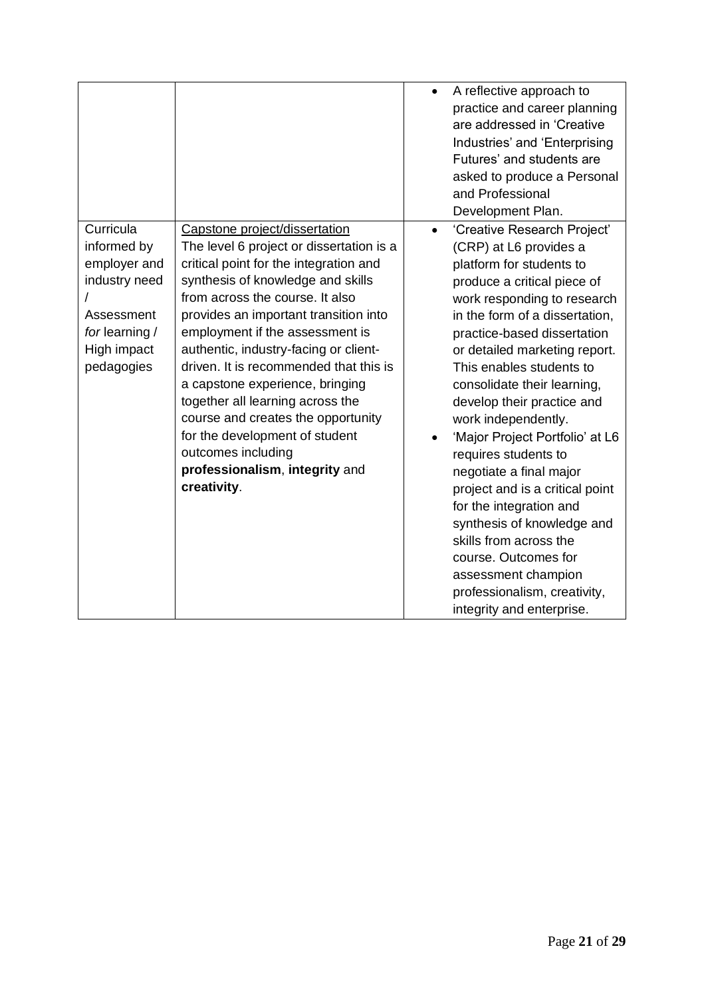|                                                                                                                        |                                                                                                                                                                                                                                                                                                                                                                                                                                                                                                                                                                                  | A reflective approach to<br>$\bullet$<br>practice and career planning<br>are addressed in 'Creative<br>Industries' and 'Enterprising<br>Futures' and students are<br>asked to produce a Personal<br>and Professional<br>Development Plan.                                                                                                                                                                                                                                                                                                                                                                                                                                                              |
|------------------------------------------------------------------------------------------------------------------------|----------------------------------------------------------------------------------------------------------------------------------------------------------------------------------------------------------------------------------------------------------------------------------------------------------------------------------------------------------------------------------------------------------------------------------------------------------------------------------------------------------------------------------------------------------------------------------|--------------------------------------------------------------------------------------------------------------------------------------------------------------------------------------------------------------------------------------------------------------------------------------------------------------------------------------------------------------------------------------------------------------------------------------------------------------------------------------------------------------------------------------------------------------------------------------------------------------------------------------------------------------------------------------------------------|
| Curricula<br>informed by<br>employer and<br>industry need<br>Assessment<br>for learning /<br>High impact<br>pedagogies | Capstone project/dissertation<br>The level 6 project or dissertation is a<br>critical point for the integration and<br>synthesis of knowledge and skills<br>from across the course. It also<br>provides an important transition into<br>employment if the assessment is<br>authentic, industry-facing or client-<br>driven. It is recommended that this is<br>a capstone experience, bringing<br>together all learning across the<br>course and creates the opportunity<br>for the development of student<br>outcomes including<br>professionalism, integrity and<br>creativity. | 'Creative Research Project'<br>$\bullet$<br>(CRP) at L6 provides a<br>platform for students to<br>produce a critical piece of<br>work responding to research<br>in the form of a dissertation,<br>practice-based dissertation<br>or detailed marketing report.<br>This enables students to<br>consolidate their learning,<br>develop their practice and<br>work independently.<br>'Major Project Portfolio' at L6<br>requires students to<br>negotiate a final major<br>project and is a critical point<br>for the integration and<br>synthesis of knowledge and<br>skills from across the<br>course. Outcomes for<br>assessment champion<br>professionalism, creativity,<br>integrity and enterprise. |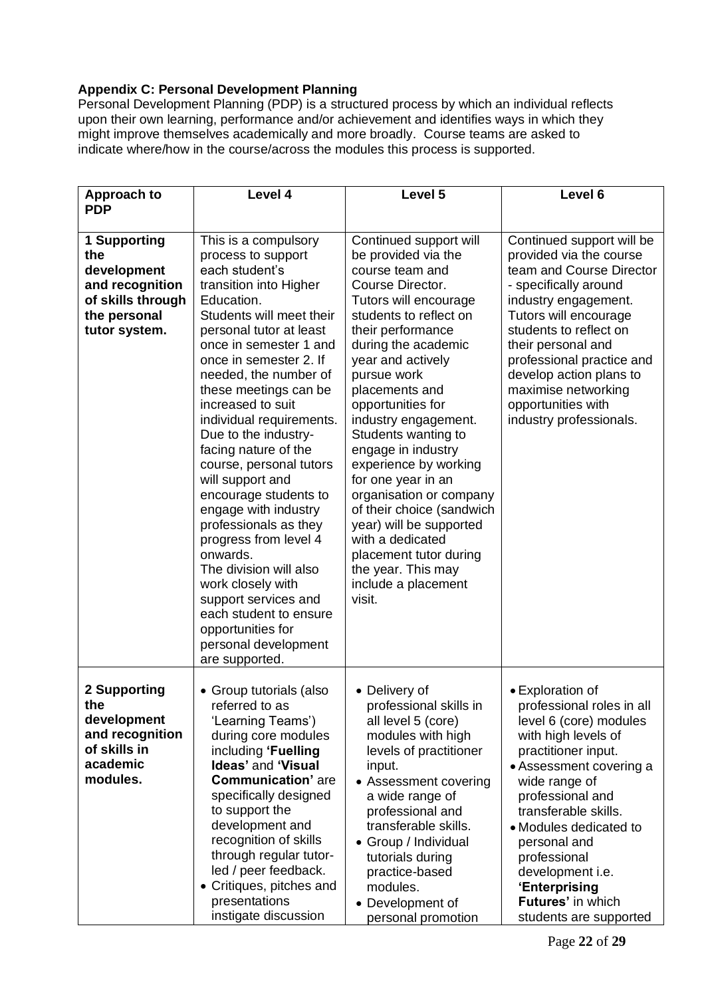# **Appendix C: Personal Development Planning**

Personal Development Planning (PDP) is a structured process by which an individual reflects upon their own learning, performance and/or achievement and identifies ways in which they might improve themselves academically and more broadly. Course teams are asked to indicate where/how in the course/across the modules this process is supported.

| <b>Approach to</b>                                                                                          | Level 4                                                                                                                                                                                                                                                                                                                                                                                                                                                                                                                                                                                                                                                                                          | Level 5                                                                                                                                                                                                                                                                                                                                                                                                                                                                                                                                                                    | Level 6                                                                                                                                                                                                                                                                                                                                                     |
|-------------------------------------------------------------------------------------------------------------|--------------------------------------------------------------------------------------------------------------------------------------------------------------------------------------------------------------------------------------------------------------------------------------------------------------------------------------------------------------------------------------------------------------------------------------------------------------------------------------------------------------------------------------------------------------------------------------------------------------------------------------------------------------------------------------------------|----------------------------------------------------------------------------------------------------------------------------------------------------------------------------------------------------------------------------------------------------------------------------------------------------------------------------------------------------------------------------------------------------------------------------------------------------------------------------------------------------------------------------------------------------------------------------|-------------------------------------------------------------------------------------------------------------------------------------------------------------------------------------------------------------------------------------------------------------------------------------------------------------------------------------------------------------|
| <b>PDP</b>                                                                                                  |                                                                                                                                                                                                                                                                                                                                                                                                                                                                                                                                                                                                                                                                                                  |                                                                                                                                                                                                                                                                                                                                                                                                                                                                                                                                                                            |                                                                                                                                                                                                                                                                                                                                                             |
| 1 Supporting<br>the<br>development<br>and recognition<br>of skills through<br>the personal<br>tutor system. | This is a compulsory<br>process to support<br>each student's<br>transition into Higher<br>Education.<br>Students will meet their<br>personal tutor at least<br>once in semester 1 and<br>once in semester 2. If<br>needed, the number of<br>these meetings can be<br>increased to suit<br>individual requirements.<br>Due to the industry-<br>facing nature of the<br>course, personal tutors<br>will support and<br>encourage students to<br>engage with industry<br>professionals as they<br>progress from level 4<br>onwards.<br>The division will also<br>work closely with<br>support services and<br>each student to ensure<br>opportunities for<br>personal development<br>are supported. | Continued support will<br>be provided via the<br>course team and<br>Course Director.<br>Tutors will encourage<br>students to reflect on<br>their performance<br>during the academic<br>year and actively<br>pursue work<br>placements and<br>opportunities for<br>industry engagement.<br>Students wanting to<br>engage in industry<br>experience by working<br>for one year in an<br>organisation or company<br>of their choice (sandwich<br>year) will be supported<br>with a dedicated<br>placement tutor during<br>the year. This may<br>include a placement<br>visit. | Continued support will be<br>provided via the course<br>team and Course Director<br>- specifically around<br>industry engagement.<br>Tutors will encourage<br>students to reflect on<br>their personal and<br>professional practice and<br>develop action plans to<br>maximise networking<br>opportunities with<br>industry professionals.                  |
| 2 Supporting<br>the<br>development<br>and recognition<br>of skills in<br>academic<br>modules.               | • Group tutorials (also<br>referred to as<br>'Learning Teams')<br>during core modules<br>including 'Fuelling<br><b>Ideas' and 'Visual</b><br><b>Communication'</b> are<br>specifically designed<br>to support the<br>development and<br>recognition of skills<br>through regular tutor-<br>led / peer feedback.<br>• Critiques, pitches and<br>presentations<br>instigate discussion                                                                                                                                                                                                                                                                                                             | • Delivery of<br>professional skills in<br>all level 5 (core)<br>modules with high<br>levels of practitioner<br>input.<br>• Assessment covering<br>a wide range of<br>professional and<br>transferable skills.<br>Group / Individual<br>tutorials during<br>practice-based<br>modules.<br>• Development of<br>personal promotion                                                                                                                                                                                                                                           | • Exploration of<br>professional roles in all<br>level 6 (core) modules<br>with high levels of<br>practitioner input.<br>• Assessment covering a<br>wide range of<br>professional and<br>transferable skills.<br>• Modules dedicated to<br>personal and<br>professional<br>development i.e.<br>'Enterprising<br>Futures' in which<br>students are supported |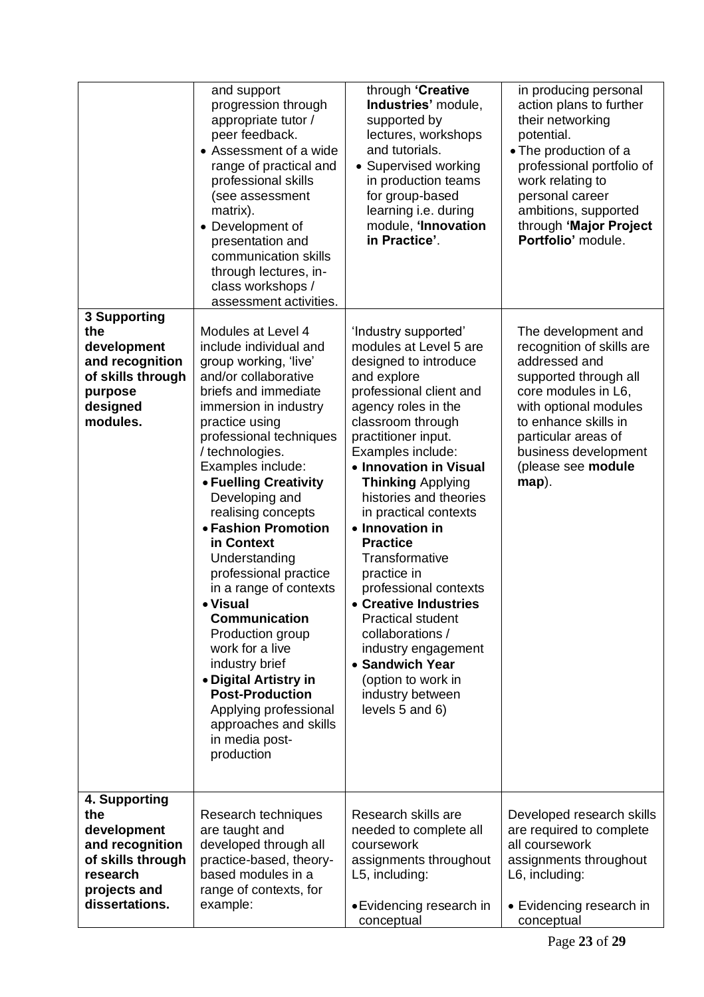|                                                                                                                           | and support<br>progression through<br>appropriate tutor /<br>peer feedback.<br>• Assessment of a wide<br>range of practical and<br>professional skills<br>(see assessment<br>matrix).<br>• Development of<br>presentation and<br>communication skills<br>through lectures, in-<br>class workshops /<br>assessment activities.                                                                                                                                                                                                                                                                                                                   | through 'Creative<br>Industries' module,<br>supported by<br>lectures, workshops<br>and tutorials.<br>• Supervised working<br>in production teams<br>for group-based<br>learning i.e. during<br>module, 'Innovation<br>in Practice'.                                                                                                                                                                                                                                                                                                                                                                | in producing personal<br>action plans to further<br>their networking<br>potential.<br>• The production of a<br>professional portfolio of<br>work relating to<br>personal career<br>ambitions, supported<br>through 'Major Project<br>Portfolio' module. |
|---------------------------------------------------------------------------------------------------------------------------|-------------------------------------------------------------------------------------------------------------------------------------------------------------------------------------------------------------------------------------------------------------------------------------------------------------------------------------------------------------------------------------------------------------------------------------------------------------------------------------------------------------------------------------------------------------------------------------------------------------------------------------------------|----------------------------------------------------------------------------------------------------------------------------------------------------------------------------------------------------------------------------------------------------------------------------------------------------------------------------------------------------------------------------------------------------------------------------------------------------------------------------------------------------------------------------------------------------------------------------------------------------|---------------------------------------------------------------------------------------------------------------------------------------------------------------------------------------------------------------------------------------------------------|
| <b>3 Supporting</b><br>the<br>development<br>and recognition<br>of skills through<br>purpose<br>designed<br>modules.      | Modules at Level 4<br>include individual and<br>group working, 'live'<br>and/or collaborative<br>briefs and immediate<br>immersion in industry<br>practice using<br>professional techniques<br>/ technologies.<br>Examples include:<br>• Fuelling Creativity<br>Developing and<br>realising concepts<br>• Fashion Promotion<br>in Context<br>Understanding<br>professional practice<br>in a range of contexts<br>• Visual<br><b>Communication</b><br>Production group<br>work for a live<br>industry brief<br>• Digital Artistry in<br><b>Post-Production</b><br>Applying professional<br>approaches and skills<br>in media post-<br>production | 'Industry supported'<br>modules at Level 5 are<br>designed to introduce<br>and explore<br>professional client and<br>agency roles in the<br>classroom through<br>practitioner input.<br>Examples include:<br>• Innovation in Visual<br><b>Thinking Applying</b><br>histories and theories<br>in practical contexts<br>• Innovation in<br><b>Practice</b><br>Transformative<br>practice in<br>professional contexts<br>• Creative Industries<br><b>Practical student</b><br>collaborations /<br>industry engagement<br>• Sandwich Year<br>(option to work in<br>industry between<br>levels 5 and 6) | The development and<br>recognition of skills are<br>addressed and<br>supported through all<br>core modules in L6,<br>with optional modules<br>to enhance skills in<br>particular areas of<br>business development<br>(please see module<br>$map$ ).     |
| 4. Supporting<br>the<br>development<br>and recognition<br>of skills through<br>research<br>projects and<br>dissertations. | Research techniques<br>are taught and<br>developed through all<br>practice-based, theory-<br>based modules in a<br>range of contexts, for<br>example:                                                                                                                                                                                                                                                                                                                                                                                                                                                                                           | Research skills are<br>needed to complete all<br>coursework<br>assignments throughout<br>L5, including:<br>• Evidencing research in<br>conceptual                                                                                                                                                                                                                                                                                                                                                                                                                                                  | Developed research skills<br>are required to complete<br>all coursework<br>assignments throughout<br>L6, including:<br>• Evidencing research in<br>conceptual                                                                                           |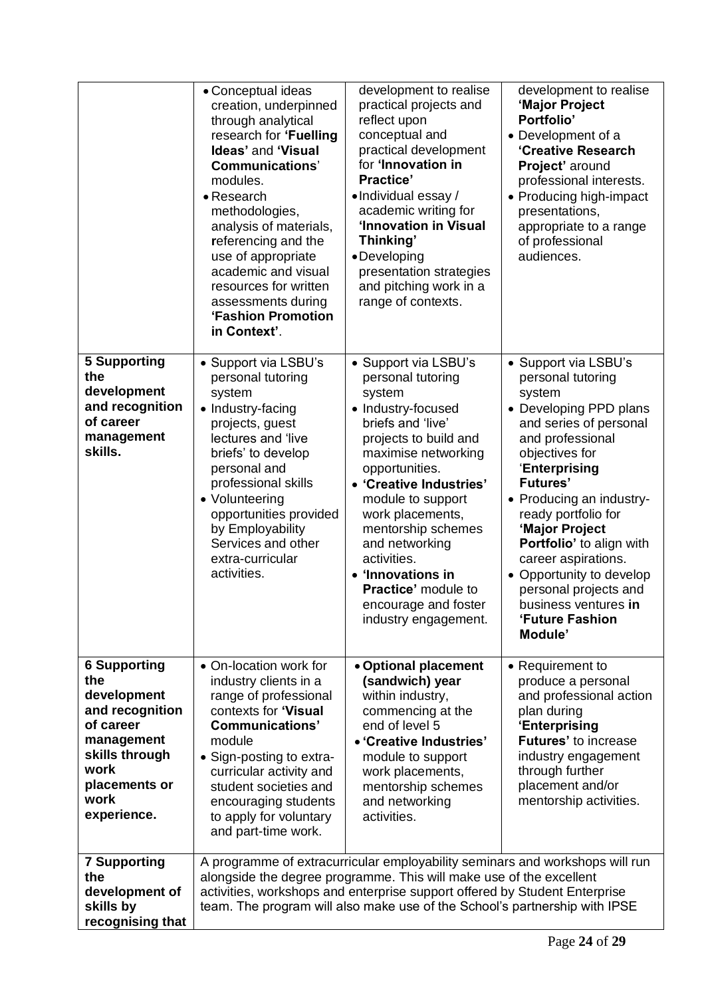|                                                                                                                                                           | • Conceptual ideas<br>creation, underpinned<br>through analytical<br>research for 'Fuelling<br>Ideas' and 'Visual<br><b>Communications'</b><br>modules.<br>• Research<br>methodologies,<br>analysis of materials,<br>referencing and the<br>use of appropriate<br>academic and visual<br>resources for written<br>assessments during<br>'Fashion Promotion<br>in Context'. | development to realise<br>practical projects and<br>reflect upon<br>conceptual and<br>practical development<br>for 'Innovation in<br><b>Practice'</b><br>•Individual essay /<br>academic writing for<br>'Innovation in Visual<br>Thinking'<br>•Developing<br>presentation strategies<br>and pitching work in a<br>range of contexts.                                                    | development to realise<br>'Major Project<br>Portfolio'<br>• Development of a<br>'Creative Research<br>Project' around<br>professional interests.<br>• Producing high-impact<br>presentations,<br>appropriate to a range<br>of professional<br>audiences.                                                                                                                                                                    |
|-----------------------------------------------------------------------------------------------------------------------------------------------------------|----------------------------------------------------------------------------------------------------------------------------------------------------------------------------------------------------------------------------------------------------------------------------------------------------------------------------------------------------------------------------|-----------------------------------------------------------------------------------------------------------------------------------------------------------------------------------------------------------------------------------------------------------------------------------------------------------------------------------------------------------------------------------------|-----------------------------------------------------------------------------------------------------------------------------------------------------------------------------------------------------------------------------------------------------------------------------------------------------------------------------------------------------------------------------------------------------------------------------|
| <b>5 Supporting</b><br>the<br>development<br>and recognition<br>of career<br>management<br>skills.                                                        | • Support via LSBU's<br>personal tutoring<br>system<br>• Industry-facing<br>projects, guest<br>lectures and 'live<br>briefs' to develop<br>personal and<br>professional skills<br>• Volunteering<br>opportunities provided<br>by Employability<br>Services and other<br>extra-curricular<br>activities.                                                                    | • Support via LSBU's<br>personal tutoring<br>system<br>• Industry-focused<br>briefs and 'live'<br>projects to build and<br>maximise networking<br>opportunities.<br>• 'Creative Industries'<br>module to support<br>work placements,<br>mentorship schemes<br>and networking<br>activities.<br>• 'Innovations in<br>Practice' module to<br>encourage and foster<br>industry engagement. | • Support via LSBU's<br>personal tutoring<br>system<br>• Developing PPD plans<br>and series of personal<br>and professional<br>objectives for<br>'Enterprising<br><b>Futures'</b><br>• Producing an industry-<br>ready portfolio for<br>'Major Project<br>Portfolio' to align with<br>career aspirations.<br>• Opportunity to develop<br>personal projects and<br>business ventures in<br><b>'Future Fashion</b><br>Module' |
| <b>6 Supporting</b><br>the<br>development<br>and recognition<br>of career<br>management<br>skills through<br>work<br>placements or<br>work<br>experience. | • On-location work for<br>industry clients in a<br>range of professional<br>contexts for 'Visual<br><b>Communications'</b><br>module<br>• Sign-posting to extra-<br>curricular activity and<br>student societies and<br>encouraging students<br>to apply for voluntary<br>and part-time work.                                                                              | • Optional placement<br>(sandwich) year<br>within industry,<br>commencing at the<br>end of level 5<br>• 'Creative Industries'<br>module to support<br>work placements,<br>mentorship schemes<br>and networking<br>activities.                                                                                                                                                           | • Requirement to<br>produce a personal<br>and professional action<br>plan during<br>'Enterprising<br>Futures' to increase<br>industry engagement<br>through further<br>placement and/or<br>mentorship activities.                                                                                                                                                                                                           |
| <b>7 Supporting</b><br>the<br>development of<br>skills by<br>recognising that                                                                             |                                                                                                                                                                                                                                                                                                                                                                            | A programme of extracurricular employability seminars and workshops will run<br>alongside the degree programme. This will make use of the excellent<br>activities, workshops and enterprise support offered by Student Enterprise<br>team. The program will also make use of the School's partnership with IPSE                                                                         |                                                                                                                                                                                                                                                                                                                                                                                                                             |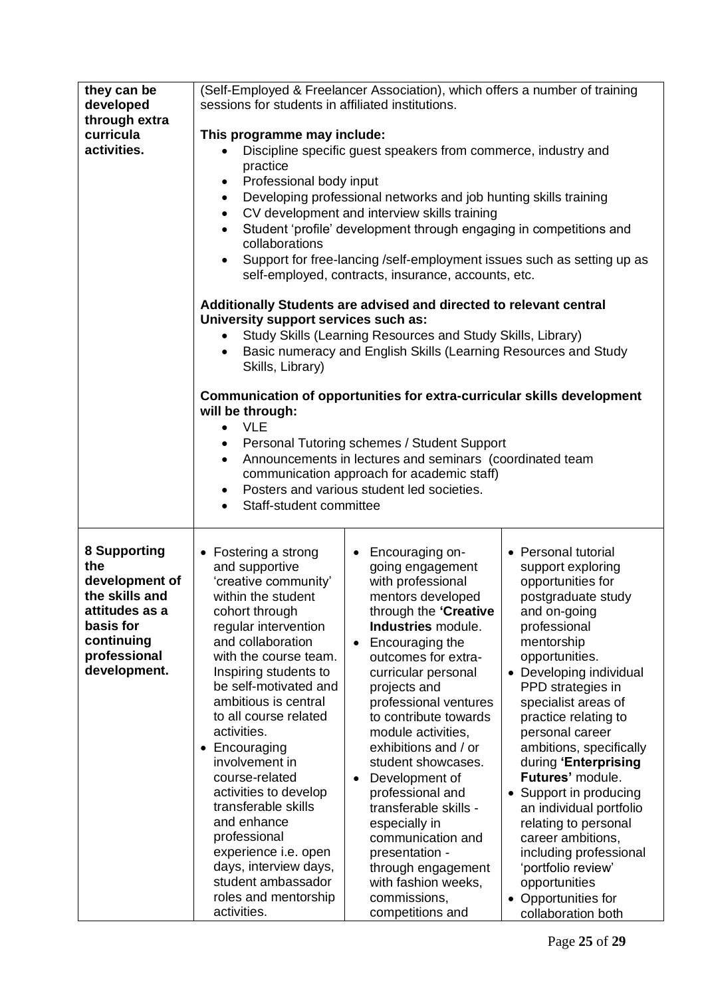| sessions for students in affiliated institutions.<br>developed<br>through extra<br>curricula<br>This programme may include:<br>activities.<br>Discipline specific guest speakers from commerce, industry and<br>$\bullet$<br>practice<br>Professional body input<br>$\bullet$<br>Developing professional networks and job hunting skills training<br>$\bullet$<br>CV development and interview skills training<br>$\bullet$<br>Student 'profile' development through engaging in competitions and<br>$\bullet$<br>collaborations<br>Support for free-lancing /self-employment issues such as setting up as<br>$\bullet$<br>self-employed, contracts, insurance, accounts, etc.<br>Additionally Students are advised and directed to relevant central<br>University support services such as:<br>Study Skills (Learning Resources and Study Skills, Library)<br>Basic numeracy and English Skills (Learning Resources and Study<br>$\bullet$<br>Skills, Library)<br>Communication of opportunities for extra-curricular skills development<br>will be through:<br><b>VLE</b><br>$\bullet$<br>Personal Tutoring schemes / Student Support<br>٠<br>Announcements in lectures and seminars (coordinated team<br>$\bullet$<br>communication approach for academic staff)<br>Posters and various student led societies.<br>$\bullet$<br>Staff-student committee<br>$\bullet$<br>8 Supporting<br>• Personal tutorial<br>• Fostering a strong<br>• Encouraging on-<br>the<br>and supportive<br>going engagement<br>support exploring<br>development of<br>opportunities for<br>'creative community'<br>with professional<br>the skills and<br>within the student<br>mentors developed<br>postgraduate study<br>through the 'Creative<br>attitudes as a<br>cohort through<br>and on-going<br>basis for<br>regular intervention<br>Industries module.<br>professional<br>continuing<br>and collaboration<br>mentorship<br>Encouraging the<br>professional<br>with the course team.<br>opportunities.<br>outcomes for extra-<br>development.<br>Inspiring students to<br>• Developing individual<br>curricular personal<br>be self-motivated and<br>PPD strategies in<br>projects and<br>ambitious is central<br>professional ventures<br>specialist areas of<br>to all course related<br>to contribute towards<br>practice relating to<br>activities.<br>module activities,<br>personal career<br>exhibitions and / or<br>Encouraging<br>ambitions, specifically<br>involvement in<br>during 'Enterprising<br>student showcases.<br>Futures' module.<br>course-related<br>Development of<br>activities to develop<br>professional and<br>• Support in producing<br>transferable skills<br>transferable skills -<br>an individual portfolio<br>and enhance<br>relating to personal<br>especially in<br>professional<br>communication and<br>career ambitions,<br>experience i.e. open<br>presentation -<br>including professional<br>days, interview days,<br>through engagement<br>'portfolio review'<br>student ambassador<br>opportunities<br>with fashion weeks,<br>roles and mentorship<br>commissions,<br>• Opportunities for | they can be | (Self-Employed & Freelancer Association), which offers a number of training |                  |                    |  |
|--------------------------------------------------------------------------------------------------------------------------------------------------------------------------------------------------------------------------------------------------------------------------------------------------------------------------------------------------------------------------------------------------------------------------------------------------------------------------------------------------------------------------------------------------------------------------------------------------------------------------------------------------------------------------------------------------------------------------------------------------------------------------------------------------------------------------------------------------------------------------------------------------------------------------------------------------------------------------------------------------------------------------------------------------------------------------------------------------------------------------------------------------------------------------------------------------------------------------------------------------------------------------------------------------------------------------------------------------------------------------------------------------------------------------------------------------------------------------------------------------------------------------------------------------------------------------------------------------------------------------------------------------------------------------------------------------------------------------------------------------------------------------------------------------------------------------------------------------------------------------------------------------------------------------------------------------------------------------------------------------------------------------------------------------------------------------------------------------------------------------------------------------------------------------------------------------------------------------------------------------------------------------------------------------------------------------------------------------------------------------------------------------------------------------------------------------------------------------------------------------------------------------------------------------------------------------------------------------------------------------------------------------------------------------------------------------------------------------------------------------------------------------------------------------------------------------------------------------------------------------------------------------------------------------------------------------------------------------------------------------------------------------------------------------------------------------------------------------------------------------|-------------|-----------------------------------------------------------------------------|------------------|--------------------|--|
|                                                                                                                                                                                                                                                                                                                                                                                                                                                                                                                                                                                                                                                                                                                                                                                                                                                                                                                                                                                                                                                                                                                                                                                                                                                                                                                                                                                                                                                                                                                                                                                                                                                                                                                                                                                                                                                                                                                                                                                                                                                                                                                                                                                                                                                                                                                                                                                                                                                                                                                                                                                                                                                                                                                                                                                                                                                                                                                                                                                                                                                                                                                          |             |                                                                             |                  |                    |  |
|                                                                                                                                                                                                                                                                                                                                                                                                                                                                                                                                                                                                                                                                                                                                                                                                                                                                                                                                                                                                                                                                                                                                                                                                                                                                                                                                                                                                                                                                                                                                                                                                                                                                                                                                                                                                                                                                                                                                                                                                                                                                                                                                                                                                                                                                                                                                                                                                                                                                                                                                                                                                                                                                                                                                                                                                                                                                                                                                                                                                                                                                                                                          |             |                                                                             |                  |                    |  |
|                                                                                                                                                                                                                                                                                                                                                                                                                                                                                                                                                                                                                                                                                                                                                                                                                                                                                                                                                                                                                                                                                                                                                                                                                                                                                                                                                                                                                                                                                                                                                                                                                                                                                                                                                                                                                                                                                                                                                                                                                                                                                                                                                                                                                                                                                                                                                                                                                                                                                                                                                                                                                                                                                                                                                                                                                                                                                                                                                                                                                                                                                                                          |             |                                                                             |                  |                    |  |
|                                                                                                                                                                                                                                                                                                                                                                                                                                                                                                                                                                                                                                                                                                                                                                                                                                                                                                                                                                                                                                                                                                                                                                                                                                                                                                                                                                                                                                                                                                                                                                                                                                                                                                                                                                                                                                                                                                                                                                                                                                                                                                                                                                                                                                                                                                                                                                                                                                                                                                                                                                                                                                                                                                                                                                                                                                                                                                                                                                                                                                                                                                                          |             |                                                                             |                  |                    |  |
|                                                                                                                                                                                                                                                                                                                                                                                                                                                                                                                                                                                                                                                                                                                                                                                                                                                                                                                                                                                                                                                                                                                                                                                                                                                                                                                                                                                                                                                                                                                                                                                                                                                                                                                                                                                                                                                                                                                                                                                                                                                                                                                                                                                                                                                                                                                                                                                                                                                                                                                                                                                                                                                                                                                                                                                                                                                                                                                                                                                                                                                                                                                          |             |                                                                             |                  |                    |  |
|                                                                                                                                                                                                                                                                                                                                                                                                                                                                                                                                                                                                                                                                                                                                                                                                                                                                                                                                                                                                                                                                                                                                                                                                                                                                                                                                                                                                                                                                                                                                                                                                                                                                                                                                                                                                                                                                                                                                                                                                                                                                                                                                                                                                                                                                                                                                                                                                                                                                                                                                                                                                                                                                                                                                                                                                                                                                                                                                                                                                                                                                                                                          |             |                                                                             |                  |                    |  |
|                                                                                                                                                                                                                                                                                                                                                                                                                                                                                                                                                                                                                                                                                                                                                                                                                                                                                                                                                                                                                                                                                                                                                                                                                                                                                                                                                                                                                                                                                                                                                                                                                                                                                                                                                                                                                                                                                                                                                                                                                                                                                                                                                                                                                                                                                                                                                                                                                                                                                                                                                                                                                                                                                                                                                                                                                                                                                                                                                                                                                                                                                                                          |             |                                                                             |                  |                    |  |
|                                                                                                                                                                                                                                                                                                                                                                                                                                                                                                                                                                                                                                                                                                                                                                                                                                                                                                                                                                                                                                                                                                                                                                                                                                                                                                                                                                                                                                                                                                                                                                                                                                                                                                                                                                                                                                                                                                                                                                                                                                                                                                                                                                                                                                                                                                                                                                                                                                                                                                                                                                                                                                                                                                                                                                                                                                                                                                                                                                                                                                                                                                                          |             |                                                                             |                  |                    |  |
|                                                                                                                                                                                                                                                                                                                                                                                                                                                                                                                                                                                                                                                                                                                                                                                                                                                                                                                                                                                                                                                                                                                                                                                                                                                                                                                                                                                                                                                                                                                                                                                                                                                                                                                                                                                                                                                                                                                                                                                                                                                                                                                                                                                                                                                                                                                                                                                                                                                                                                                                                                                                                                                                                                                                                                                                                                                                                                                                                                                                                                                                                                                          |             |                                                                             |                  |                    |  |
|                                                                                                                                                                                                                                                                                                                                                                                                                                                                                                                                                                                                                                                                                                                                                                                                                                                                                                                                                                                                                                                                                                                                                                                                                                                                                                                                                                                                                                                                                                                                                                                                                                                                                                                                                                                                                                                                                                                                                                                                                                                                                                                                                                                                                                                                                                                                                                                                                                                                                                                                                                                                                                                                                                                                                                                                                                                                                                                                                                                                                                                                                                                          |             |                                                                             |                  |                    |  |
|                                                                                                                                                                                                                                                                                                                                                                                                                                                                                                                                                                                                                                                                                                                                                                                                                                                                                                                                                                                                                                                                                                                                                                                                                                                                                                                                                                                                                                                                                                                                                                                                                                                                                                                                                                                                                                                                                                                                                                                                                                                                                                                                                                                                                                                                                                                                                                                                                                                                                                                                                                                                                                                                                                                                                                                                                                                                                                                                                                                                                                                                                                                          |             |                                                                             |                  |                    |  |
|                                                                                                                                                                                                                                                                                                                                                                                                                                                                                                                                                                                                                                                                                                                                                                                                                                                                                                                                                                                                                                                                                                                                                                                                                                                                                                                                                                                                                                                                                                                                                                                                                                                                                                                                                                                                                                                                                                                                                                                                                                                                                                                                                                                                                                                                                                                                                                                                                                                                                                                                                                                                                                                                                                                                                                                                                                                                                                                                                                                                                                                                                                                          |             |                                                                             |                  |                    |  |
|                                                                                                                                                                                                                                                                                                                                                                                                                                                                                                                                                                                                                                                                                                                                                                                                                                                                                                                                                                                                                                                                                                                                                                                                                                                                                                                                                                                                                                                                                                                                                                                                                                                                                                                                                                                                                                                                                                                                                                                                                                                                                                                                                                                                                                                                                                                                                                                                                                                                                                                                                                                                                                                                                                                                                                                                                                                                                                                                                                                                                                                                                                                          |             |                                                                             |                  |                    |  |
|                                                                                                                                                                                                                                                                                                                                                                                                                                                                                                                                                                                                                                                                                                                                                                                                                                                                                                                                                                                                                                                                                                                                                                                                                                                                                                                                                                                                                                                                                                                                                                                                                                                                                                                                                                                                                                                                                                                                                                                                                                                                                                                                                                                                                                                                                                                                                                                                                                                                                                                                                                                                                                                                                                                                                                                                                                                                                                                                                                                                                                                                                                                          |             |                                                                             |                  |                    |  |
|                                                                                                                                                                                                                                                                                                                                                                                                                                                                                                                                                                                                                                                                                                                                                                                                                                                                                                                                                                                                                                                                                                                                                                                                                                                                                                                                                                                                                                                                                                                                                                                                                                                                                                                                                                                                                                                                                                                                                                                                                                                                                                                                                                                                                                                                                                                                                                                                                                                                                                                                                                                                                                                                                                                                                                                                                                                                                                                                                                                                                                                                                                                          |             |                                                                             |                  |                    |  |
|                                                                                                                                                                                                                                                                                                                                                                                                                                                                                                                                                                                                                                                                                                                                                                                                                                                                                                                                                                                                                                                                                                                                                                                                                                                                                                                                                                                                                                                                                                                                                                                                                                                                                                                                                                                                                                                                                                                                                                                                                                                                                                                                                                                                                                                                                                                                                                                                                                                                                                                                                                                                                                                                                                                                                                                                                                                                                                                                                                                                                                                                                                                          |             |                                                                             |                  |                    |  |
|                                                                                                                                                                                                                                                                                                                                                                                                                                                                                                                                                                                                                                                                                                                                                                                                                                                                                                                                                                                                                                                                                                                                                                                                                                                                                                                                                                                                                                                                                                                                                                                                                                                                                                                                                                                                                                                                                                                                                                                                                                                                                                                                                                                                                                                                                                                                                                                                                                                                                                                                                                                                                                                                                                                                                                                                                                                                                                                                                                                                                                                                                                                          |             |                                                                             |                  |                    |  |
|                                                                                                                                                                                                                                                                                                                                                                                                                                                                                                                                                                                                                                                                                                                                                                                                                                                                                                                                                                                                                                                                                                                                                                                                                                                                                                                                                                                                                                                                                                                                                                                                                                                                                                                                                                                                                                                                                                                                                                                                                                                                                                                                                                                                                                                                                                                                                                                                                                                                                                                                                                                                                                                                                                                                                                                                                                                                                                                                                                                                                                                                                                                          |             |                                                                             |                  |                    |  |
|                                                                                                                                                                                                                                                                                                                                                                                                                                                                                                                                                                                                                                                                                                                                                                                                                                                                                                                                                                                                                                                                                                                                                                                                                                                                                                                                                                                                                                                                                                                                                                                                                                                                                                                                                                                                                                                                                                                                                                                                                                                                                                                                                                                                                                                                                                                                                                                                                                                                                                                                                                                                                                                                                                                                                                                                                                                                                                                                                                                                                                                                                                                          |             |                                                                             |                  |                    |  |
|                                                                                                                                                                                                                                                                                                                                                                                                                                                                                                                                                                                                                                                                                                                                                                                                                                                                                                                                                                                                                                                                                                                                                                                                                                                                                                                                                                                                                                                                                                                                                                                                                                                                                                                                                                                                                                                                                                                                                                                                                                                                                                                                                                                                                                                                                                                                                                                                                                                                                                                                                                                                                                                                                                                                                                                                                                                                                                                                                                                                                                                                                                                          |             |                                                                             |                  |                    |  |
|                                                                                                                                                                                                                                                                                                                                                                                                                                                                                                                                                                                                                                                                                                                                                                                                                                                                                                                                                                                                                                                                                                                                                                                                                                                                                                                                                                                                                                                                                                                                                                                                                                                                                                                                                                                                                                                                                                                                                                                                                                                                                                                                                                                                                                                                                                                                                                                                                                                                                                                                                                                                                                                                                                                                                                                                                                                                                                                                                                                                                                                                                                                          |             |                                                                             |                  |                    |  |
|                                                                                                                                                                                                                                                                                                                                                                                                                                                                                                                                                                                                                                                                                                                                                                                                                                                                                                                                                                                                                                                                                                                                                                                                                                                                                                                                                                                                                                                                                                                                                                                                                                                                                                                                                                                                                                                                                                                                                                                                                                                                                                                                                                                                                                                                                                                                                                                                                                                                                                                                                                                                                                                                                                                                                                                                                                                                                                                                                                                                                                                                                                                          |             |                                                                             |                  |                    |  |
|                                                                                                                                                                                                                                                                                                                                                                                                                                                                                                                                                                                                                                                                                                                                                                                                                                                                                                                                                                                                                                                                                                                                                                                                                                                                                                                                                                                                                                                                                                                                                                                                                                                                                                                                                                                                                                                                                                                                                                                                                                                                                                                                                                                                                                                                                                                                                                                                                                                                                                                                                                                                                                                                                                                                                                                                                                                                                                                                                                                                                                                                                                                          |             |                                                                             |                  |                    |  |
|                                                                                                                                                                                                                                                                                                                                                                                                                                                                                                                                                                                                                                                                                                                                                                                                                                                                                                                                                                                                                                                                                                                                                                                                                                                                                                                                                                                                                                                                                                                                                                                                                                                                                                                                                                                                                                                                                                                                                                                                                                                                                                                                                                                                                                                                                                                                                                                                                                                                                                                                                                                                                                                                                                                                                                                                                                                                                                                                                                                                                                                                                                                          |             |                                                                             |                  |                    |  |
|                                                                                                                                                                                                                                                                                                                                                                                                                                                                                                                                                                                                                                                                                                                                                                                                                                                                                                                                                                                                                                                                                                                                                                                                                                                                                                                                                                                                                                                                                                                                                                                                                                                                                                                                                                                                                                                                                                                                                                                                                                                                                                                                                                                                                                                                                                                                                                                                                                                                                                                                                                                                                                                                                                                                                                                                                                                                                                                                                                                                                                                                                                                          |             |                                                                             |                  |                    |  |
|                                                                                                                                                                                                                                                                                                                                                                                                                                                                                                                                                                                                                                                                                                                                                                                                                                                                                                                                                                                                                                                                                                                                                                                                                                                                                                                                                                                                                                                                                                                                                                                                                                                                                                                                                                                                                                                                                                                                                                                                                                                                                                                                                                                                                                                                                                                                                                                                                                                                                                                                                                                                                                                                                                                                                                                                                                                                                                                                                                                                                                                                                                                          |             |                                                                             |                  |                    |  |
|                                                                                                                                                                                                                                                                                                                                                                                                                                                                                                                                                                                                                                                                                                                                                                                                                                                                                                                                                                                                                                                                                                                                                                                                                                                                                                                                                                                                                                                                                                                                                                                                                                                                                                                                                                                                                                                                                                                                                                                                                                                                                                                                                                                                                                                                                                                                                                                                                                                                                                                                                                                                                                                                                                                                                                                                                                                                                                                                                                                                                                                                                                                          |             |                                                                             |                  |                    |  |
|                                                                                                                                                                                                                                                                                                                                                                                                                                                                                                                                                                                                                                                                                                                                                                                                                                                                                                                                                                                                                                                                                                                                                                                                                                                                                                                                                                                                                                                                                                                                                                                                                                                                                                                                                                                                                                                                                                                                                                                                                                                                                                                                                                                                                                                                                                                                                                                                                                                                                                                                                                                                                                                                                                                                                                                                                                                                                                                                                                                                                                                                                                                          |             |                                                                             |                  |                    |  |
|                                                                                                                                                                                                                                                                                                                                                                                                                                                                                                                                                                                                                                                                                                                                                                                                                                                                                                                                                                                                                                                                                                                                                                                                                                                                                                                                                                                                                                                                                                                                                                                                                                                                                                                                                                                                                                                                                                                                                                                                                                                                                                                                                                                                                                                                                                                                                                                                                                                                                                                                                                                                                                                                                                                                                                                                                                                                                                                                                                                                                                                                                                                          |             |                                                                             |                  |                    |  |
|                                                                                                                                                                                                                                                                                                                                                                                                                                                                                                                                                                                                                                                                                                                                                                                                                                                                                                                                                                                                                                                                                                                                                                                                                                                                                                                                                                                                                                                                                                                                                                                                                                                                                                                                                                                                                                                                                                                                                                                                                                                                                                                                                                                                                                                                                                                                                                                                                                                                                                                                                                                                                                                                                                                                                                                                                                                                                                                                                                                                                                                                                                                          |             |                                                                             |                  |                    |  |
|                                                                                                                                                                                                                                                                                                                                                                                                                                                                                                                                                                                                                                                                                                                                                                                                                                                                                                                                                                                                                                                                                                                                                                                                                                                                                                                                                                                                                                                                                                                                                                                                                                                                                                                                                                                                                                                                                                                                                                                                                                                                                                                                                                                                                                                                                                                                                                                                                                                                                                                                                                                                                                                                                                                                                                                                                                                                                                                                                                                                                                                                                                                          |             |                                                                             |                  |                    |  |
|                                                                                                                                                                                                                                                                                                                                                                                                                                                                                                                                                                                                                                                                                                                                                                                                                                                                                                                                                                                                                                                                                                                                                                                                                                                                                                                                                                                                                                                                                                                                                                                                                                                                                                                                                                                                                                                                                                                                                                                                                                                                                                                                                                                                                                                                                                                                                                                                                                                                                                                                                                                                                                                                                                                                                                                                                                                                                                                                                                                                                                                                                                                          |             |                                                                             |                  |                    |  |
|                                                                                                                                                                                                                                                                                                                                                                                                                                                                                                                                                                                                                                                                                                                                                                                                                                                                                                                                                                                                                                                                                                                                                                                                                                                                                                                                                                                                                                                                                                                                                                                                                                                                                                                                                                                                                                                                                                                                                                                                                                                                                                                                                                                                                                                                                                                                                                                                                                                                                                                                                                                                                                                                                                                                                                                                                                                                                                                                                                                                                                                                                                                          |             |                                                                             |                  |                    |  |
|                                                                                                                                                                                                                                                                                                                                                                                                                                                                                                                                                                                                                                                                                                                                                                                                                                                                                                                                                                                                                                                                                                                                                                                                                                                                                                                                                                                                                                                                                                                                                                                                                                                                                                                                                                                                                                                                                                                                                                                                                                                                                                                                                                                                                                                                                                                                                                                                                                                                                                                                                                                                                                                                                                                                                                                                                                                                                                                                                                                                                                                                                                                          |             |                                                                             |                  |                    |  |
|                                                                                                                                                                                                                                                                                                                                                                                                                                                                                                                                                                                                                                                                                                                                                                                                                                                                                                                                                                                                                                                                                                                                                                                                                                                                                                                                                                                                                                                                                                                                                                                                                                                                                                                                                                                                                                                                                                                                                                                                                                                                                                                                                                                                                                                                                                                                                                                                                                                                                                                                                                                                                                                                                                                                                                                                                                                                                                                                                                                                                                                                                                                          |             |                                                                             |                  |                    |  |
|                                                                                                                                                                                                                                                                                                                                                                                                                                                                                                                                                                                                                                                                                                                                                                                                                                                                                                                                                                                                                                                                                                                                                                                                                                                                                                                                                                                                                                                                                                                                                                                                                                                                                                                                                                                                                                                                                                                                                                                                                                                                                                                                                                                                                                                                                                                                                                                                                                                                                                                                                                                                                                                                                                                                                                                                                                                                                                                                                                                                                                                                                                                          |             |                                                                             |                  |                    |  |
|                                                                                                                                                                                                                                                                                                                                                                                                                                                                                                                                                                                                                                                                                                                                                                                                                                                                                                                                                                                                                                                                                                                                                                                                                                                                                                                                                                                                                                                                                                                                                                                                                                                                                                                                                                                                                                                                                                                                                                                                                                                                                                                                                                                                                                                                                                                                                                                                                                                                                                                                                                                                                                                                                                                                                                                                                                                                                                                                                                                                                                                                                                                          |             |                                                                             |                  |                    |  |
|                                                                                                                                                                                                                                                                                                                                                                                                                                                                                                                                                                                                                                                                                                                                                                                                                                                                                                                                                                                                                                                                                                                                                                                                                                                                                                                                                                                                                                                                                                                                                                                                                                                                                                                                                                                                                                                                                                                                                                                                                                                                                                                                                                                                                                                                                                                                                                                                                                                                                                                                                                                                                                                                                                                                                                                                                                                                                                                                                                                                                                                                                                                          |             |                                                                             |                  |                    |  |
|                                                                                                                                                                                                                                                                                                                                                                                                                                                                                                                                                                                                                                                                                                                                                                                                                                                                                                                                                                                                                                                                                                                                                                                                                                                                                                                                                                                                                                                                                                                                                                                                                                                                                                                                                                                                                                                                                                                                                                                                                                                                                                                                                                                                                                                                                                                                                                                                                                                                                                                                                                                                                                                                                                                                                                                                                                                                                                                                                                                                                                                                                                                          |             |                                                                             |                  |                    |  |
|                                                                                                                                                                                                                                                                                                                                                                                                                                                                                                                                                                                                                                                                                                                                                                                                                                                                                                                                                                                                                                                                                                                                                                                                                                                                                                                                                                                                                                                                                                                                                                                                                                                                                                                                                                                                                                                                                                                                                                                                                                                                                                                                                                                                                                                                                                                                                                                                                                                                                                                                                                                                                                                                                                                                                                                                                                                                                                                                                                                                                                                                                                                          |             |                                                                             |                  |                    |  |
|                                                                                                                                                                                                                                                                                                                                                                                                                                                                                                                                                                                                                                                                                                                                                                                                                                                                                                                                                                                                                                                                                                                                                                                                                                                                                                                                                                                                                                                                                                                                                                                                                                                                                                                                                                                                                                                                                                                                                                                                                                                                                                                                                                                                                                                                                                                                                                                                                                                                                                                                                                                                                                                                                                                                                                                                                                                                                                                                                                                                                                                                                                                          |             |                                                                             |                  |                    |  |
|                                                                                                                                                                                                                                                                                                                                                                                                                                                                                                                                                                                                                                                                                                                                                                                                                                                                                                                                                                                                                                                                                                                                                                                                                                                                                                                                                                                                                                                                                                                                                                                                                                                                                                                                                                                                                                                                                                                                                                                                                                                                                                                                                                                                                                                                                                                                                                                                                                                                                                                                                                                                                                                                                                                                                                                                                                                                                                                                                                                                                                                                                                                          |             |                                                                             |                  |                    |  |
|                                                                                                                                                                                                                                                                                                                                                                                                                                                                                                                                                                                                                                                                                                                                                                                                                                                                                                                                                                                                                                                                                                                                                                                                                                                                                                                                                                                                                                                                                                                                                                                                                                                                                                                                                                                                                                                                                                                                                                                                                                                                                                                                                                                                                                                                                                                                                                                                                                                                                                                                                                                                                                                                                                                                                                                                                                                                                                                                                                                                                                                                                                                          |             |                                                                             |                  |                    |  |
|                                                                                                                                                                                                                                                                                                                                                                                                                                                                                                                                                                                                                                                                                                                                                                                                                                                                                                                                                                                                                                                                                                                                                                                                                                                                                                                                                                                                                                                                                                                                                                                                                                                                                                                                                                                                                                                                                                                                                                                                                                                                                                                                                                                                                                                                                                                                                                                                                                                                                                                                                                                                                                                                                                                                                                                                                                                                                                                                                                                                                                                                                                                          |             |                                                                             |                  |                    |  |
|                                                                                                                                                                                                                                                                                                                                                                                                                                                                                                                                                                                                                                                                                                                                                                                                                                                                                                                                                                                                                                                                                                                                                                                                                                                                                                                                                                                                                                                                                                                                                                                                                                                                                                                                                                                                                                                                                                                                                                                                                                                                                                                                                                                                                                                                                                                                                                                                                                                                                                                                                                                                                                                                                                                                                                                                                                                                                                                                                                                                                                                                                                                          |             |                                                                             |                  |                    |  |
|                                                                                                                                                                                                                                                                                                                                                                                                                                                                                                                                                                                                                                                                                                                                                                                                                                                                                                                                                                                                                                                                                                                                                                                                                                                                                                                                                                                                                                                                                                                                                                                                                                                                                                                                                                                                                                                                                                                                                                                                                                                                                                                                                                                                                                                                                                                                                                                                                                                                                                                                                                                                                                                                                                                                                                                                                                                                                                                                                                                                                                                                                                                          |             |                                                                             |                  |                    |  |
|                                                                                                                                                                                                                                                                                                                                                                                                                                                                                                                                                                                                                                                                                                                                                                                                                                                                                                                                                                                                                                                                                                                                                                                                                                                                                                                                                                                                                                                                                                                                                                                                                                                                                                                                                                                                                                                                                                                                                                                                                                                                                                                                                                                                                                                                                                                                                                                                                                                                                                                                                                                                                                                                                                                                                                                                                                                                                                                                                                                                                                                                                                                          |             |                                                                             |                  |                    |  |
|                                                                                                                                                                                                                                                                                                                                                                                                                                                                                                                                                                                                                                                                                                                                                                                                                                                                                                                                                                                                                                                                                                                                                                                                                                                                                                                                                                                                                                                                                                                                                                                                                                                                                                                                                                                                                                                                                                                                                                                                                                                                                                                                                                                                                                                                                                                                                                                                                                                                                                                                                                                                                                                                                                                                                                                                                                                                                                                                                                                                                                                                                                                          |             |                                                                             |                  |                    |  |
|                                                                                                                                                                                                                                                                                                                                                                                                                                                                                                                                                                                                                                                                                                                                                                                                                                                                                                                                                                                                                                                                                                                                                                                                                                                                                                                                                                                                                                                                                                                                                                                                                                                                                                                                                                                                                                                                                                                                                                                                                                                                                                                                                                                                                                                                                                                                                                                                                                                                                                                                                                                                                                                                                                                                                                                                                                                                                                                                                                                                                                                                                                                          |             |                                                                             |                  |                    |  |
|                                                                                                                                                                                                                                                                                                                                                                                                                                                                                                                                                                                                                                                                                                                                                                                                                                                                                                                                                                                                                                                                                                                                                                                                                                                                                                                                                                                                                                                                                                                                                                                                                                                                                                                                                                                                                                                                                                                                                                                                                                                                                                                                                                                                                                                                                                                                                                                                                                                                                                                                                                                                                                                                                                                                                                                                                                                                                                                                                                                                                                                                                                                          |             |                                                                             |                  |                    |  |
|                                                                                                                                                                                                                                                                                                                                                                                                                                                                                                                                                                                                                                                                                                                                                                                                                                                                                                                                                                                                                                                                                                                                                                                                                                                                                                                                                                                                                                                                                                                                                                                                                                                                                                                                                                                                                                                                                                                                                                                                                                                                                                                                                                                                                                                                                                                                                                                                                                                                                                                                                                                                                                                                                                                                                                                                                                                                                                                                                                                                                                                                                                                          |             |                                                                             |                  |                    |  |
|                                                                                                                                                                                                                                                                                                                                                                                                                                                                                                                                                                                                                                                                                                                                                                                                                                                                                                                                                                                                                                                                                                                                                                                                                                                                                                                                                                                                                                                                                                                                                                                                                                                                                                                                                                                                                                                                                                                                                                                                                                                                                                                                                                                                                                                                                                                                                                                                                                                                                                                                                                                                                                                                                                                                                                                                                                                                                                                                                                                                                                                                                                                          |             |                                                                             |                  |                    |  |
|                                                                                                                                                                                                                                                                                                                                                                                                                                                                                                                                                                                                                                                                                                                                                                                                                                                                                                                                                                                                                                                                                                                                                                                                                                                                                                                                                                                                                                                                                                                                                                                                                                                                                                                                                                                                                                                                                                                                                                                                                                                                                                                                                                                                                                                                                                                                                                                                                                                                                                                                                                                                                                                                                                                                                                                                                                                                                                                                                                                                                                                                                                                          |             | activities.                                                                 | competitions and | collaboration both |  |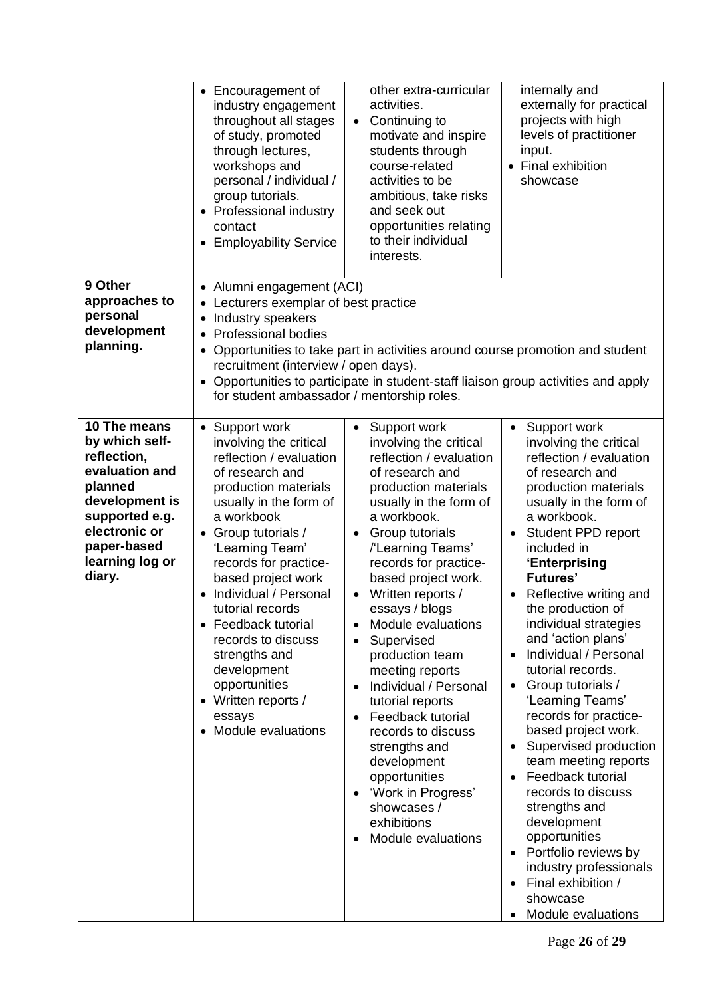|                                                                                                                                                                             | • Encouragement of<br>industry engagement<br>throughout all stages<br>of study, promoted<br>through lectures,<br>workshops and<br>personal / individual /<br>group tutorials.<br>• Professional industry<br>contact<br><b>Employability Service</b><br>$\bullet$                                                                                                                                                                                    | other extra-curricular<br>activities.<br>Continuing to<br>$\bullet$<br>motivate and inspire<br>students through<br>course-related<br>activities to be<br>ambitious, take risks<br>and seek out<br>opportunities relating<br>to their individual<br>interests.                                                                                                                                                                                                                                                                                                                                               | internally and<br>externally for practical<br>projects with high<br>levels of practitioner<br>input.<br>• Final exhibition<br>showcase                                                                                                                                                                                                                                                                                                                                                                                                                                                                                                                                                                                                                                                      |
|-----------------------------------------------------------------------------------------------------------------------------------------------------------------------------|-----------------------------------------------------------------------------------------------------------------------------------------------------------------------------------------------------------------------------------------------------------------------------------------------------------------------------------------------------------------------------------------------------------------------------------------------------|-------------------------------------------------------------------------------------------------------------------------------------------------------------------------------------------------------------------------------------------------------------------------------------------------------------------------------------------------------------------------------------------------------------------------------------------------------------------------------------------------------------------------------------------------------------------------------------------------------------|---------------------------------------------------------------------------------------------------------------------------------------------------------------------------------------------------------------------------------------------------------------------------------------------------------------------------------------------------------------------------------------------------------------------------------------------------------------------------------------------------------------------------------------------------------------------------------------------------------------------------------------------------------------------------------------------------------------------------------------------------------------------------------------------|
| 9 Other<br>approaches to<br>personal<br>development<br>planning.                                                                                                            | • Alumni engagement (ACI)<br>Lecturers exemplar of best practice<br>Industry speakers<br><b>Professional bodies</b><br>$\bullet$<br>recruitment (interview / open days).<br>for student ambassador / mentorship roles.                                                                                                                                                                                                                              | Opportunities to take part in activities around course promotion and student<br>• Opportunities to participate in student-staff liaison group activities and apply                                                                                                                                                                                                                                                                                                                                                                                                                                          |                                                                                                                                                                                                                                                                                                                                                                                                                                                                                                                                                                                                                                                                                                                                                                                             |
| 10 The means<br>by which self-<br>reflection,<br>evaluation and<br>planned<br>development is<br>supported e.g.<br>electronic or<br>paper-based<br>learning log or<br>diary. | • Support work<br>involving the critical<br>reflection / evaluation<br>of research and<br>production materials<br>usually in the form of<br>a workbook<br>• Group tutorials /<br>'Learning Team'<br>records for practice-<br>based project work<br>Individual / Personal<br>tutorial records<br>• Feedback tutorial<br>records to discuss<br>strengths and<br>development<br>opportunities<br>• Written reports /<br>essays<br>• Module evaluations | Support work<br>$\bullet$<br>involving the critical<br>reflection / evaluation<br>of research and<br>production materials<br>usually in the form of<br>a workbook.<br>Group tutorials<br>/'Learning Teams'<br>records for practice-<br>based project work.<br>Written reports /<br>essays / blogs<br>Module evaluations<br>Supervised<br>production team<br>meeting reports<br>Individual / Personal<br>$\bullet$<br>tutorial reports<br>Feedback tutorial<br>records to discuss<br>strengths and<br>development<br>opportunities<br>'Work in Progress'<br>showcases /<br>exhibitions<br>Module evaluations | Support work<br>$\bullet$<br>involving the critical<br>reflection / evaluation<br>of research and<br>production materials<br>usually in the form of<br>a workbook.<br>Student PPD report<br>included in<br>'Enterprising<br><b>Futures'</b><br>Reflective writing and<br>the production of<br>individual strategies<br>and 'action plans'<br>Individual / Personal<br>tutorial records.<br>Group tutorials /<br>$\bullet$<br>'Learning Teams'<br>records for practice-<br>based project work.<br>Supervised production<br>team meeting reports<br>Feedback tutorial<br>$\bullet$<br>records to discuss<br>strengths and<br>development<br>opportunities<br>Portfolio reviews by<br>$\bullet$<br>industry professionals<br>Final exhibition /<br>$\bullet$<br>showcase<br>Module evaluations |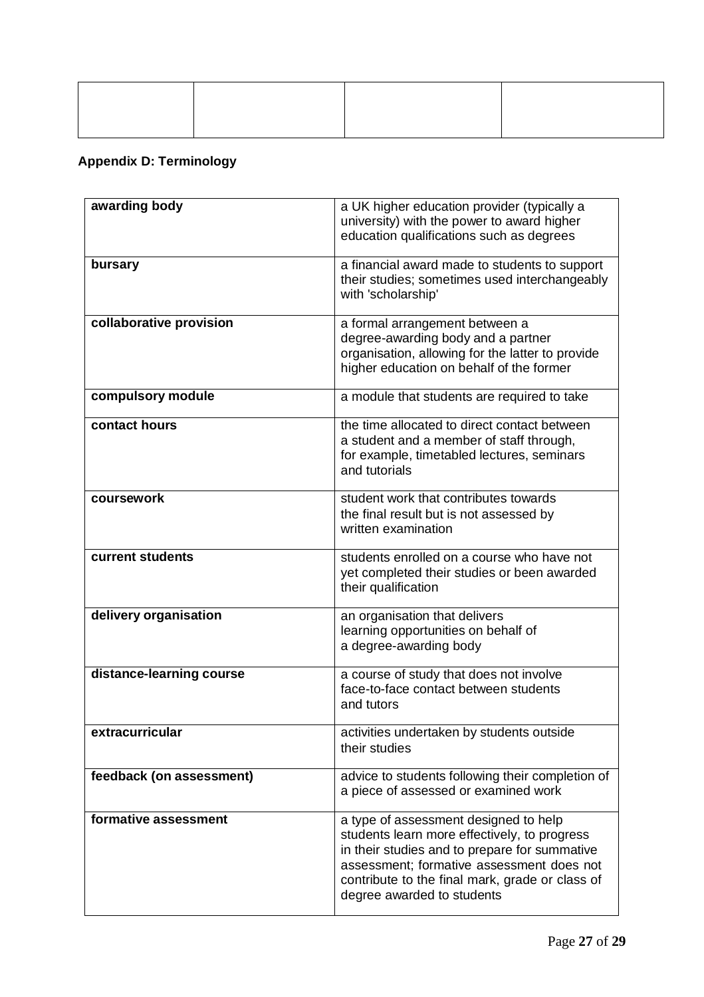# **Appendix D: Terminology**

| awarding body            | a UK higher education provider (typically a<br>university) with the power to award higher<br>education qualifications such as degrees                                                                                                                                |
|--------------------------|----------------------------------------------------------------------------------------------------------------------------------------------------------------------------------------------------------------------------------------------------------------------|
| bursary                  | a financial award made to students to support<br>their studies; sometimes used interchangeably<br>with 'scholarship'                                                                                                                                                 |
| collaborative provision  | a formal arrangement between a<br>degree-awarding body and a partner<br>organisation, allowing for the latter to provide<br>higher education on behalf of the former                                                                                                 |
| compulsory module        | a module that students are required to take                                                                                                                                                                                                                          |
| contact hours            | the time allocated to direct contact between<br>a student and a member of staff through,<br>for example, timetabled lectures, seminars<br>and tutorials                                                                                                              |
| coursework               | student work that contributes towards<br>the final result but is not assessed by<br>written examination                                                                                                                                                              |
| current students         | students enrolled on a course who have not<br>yet completed their studies or been awarded<br>their qualification                                                                                                                                                     |
| delivery organisation    | an organisation that delivers<br>learning opportunities on behalf of<br>a degree-awarding body                                                                                                                                                                       |
| distance-learning course | a course of study that does not involve<br>face-to-face contact between students<br>and tutors                                                                                                                                                                       |
| extracurricular          | activities undertaken by students outside<br>their studies                                                                                                                                                                                                           |
| feedback (on assessment) | advice to students following their completion of<br>a piece of assessed or examined work                                                                                                                                                                             |
| formative assessment     | a type of assessment designed to help<br>students learn more effectively, to progress<br>in their studies and to prepare for summative<br>assessment; formative assessment does not<br>contribute to the final mark, grade or class of<br>degree awarded to students |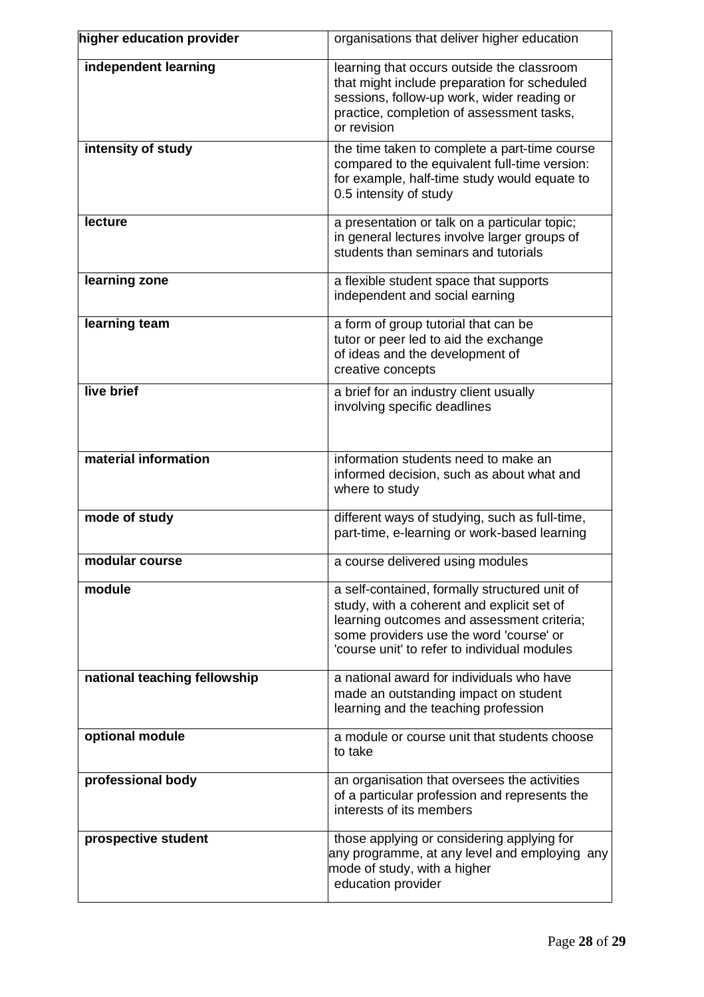| higher education provider    | organisations that deliver higher education                                                                                                                                                                                          |
|------------------------------|--------------------------------------------------------------------------------------------------------------------------------------------------------------------------------------------------------------------------------------|
| independent learning         | learning that occurs outside the classroom<br>that might include preparation for scheduled<br>sessions, follow-up work, wider reading or<br>practice, completion of assessment tasks,<br>or revision                                 |
| intensity of study           | the time taken to complete a part-time course<br>compared to the equivalent full-time version:<br>for example, half-time study would equate to<br>0.5 intensity of study                                                             |
| <b>lecture</b>               | a presentation or talk on a particular topic;<br>in general lectures involve larger groups of<br>students than seminars and tutorials                                                                                                |
| learning zone                | a flexible student space that supports<br>independent and social earning                                                                                                                                                             |
| learning team                | a form of group tutorial that can be<br>tutor or peer led to aid the exchange<br>of ideas and the development of<br>creative concepts                                                                                                |
| live brief                   | a brief for an industry client usually<br>involving specific deadlines                                                                                                                                                               |
| material information         | information students need to make an<br>informed decision, such as about what and<br>where to study                                                                                                                                  |
| mode of study                | different ways of studying, such as full-time,<br>part-time, e-learning or work-based learning                                                                                                                                       |
| modular course               | a course delivered using modules                                                                                                                                                                                                     |
| module                       | a self-contained, formally structured unit of<br>study, with a coherent and explicit set of<br>learning outcomes and assessment criteria;<br>some providers use the word 'course' or<br>'course unit' to refer to individual modules |
| national teaching fellowship | a national award for individuals who have<br>made an outstanding impact on student<br>learning and the teaching profession                                                                                                           |
| optional module              | a module or course unit that students choose<br>to take                                                                                                                                                                              |
| professional body            | an organisation that oversees the activities<br>of a particular profession and represents the<br>interests of its members                                                                                                            |
| prospective student          | those applying or considering applying for<br>any programme, at any level and employing any<br>mode of study, with a higher<br>education provider                                                                                    |